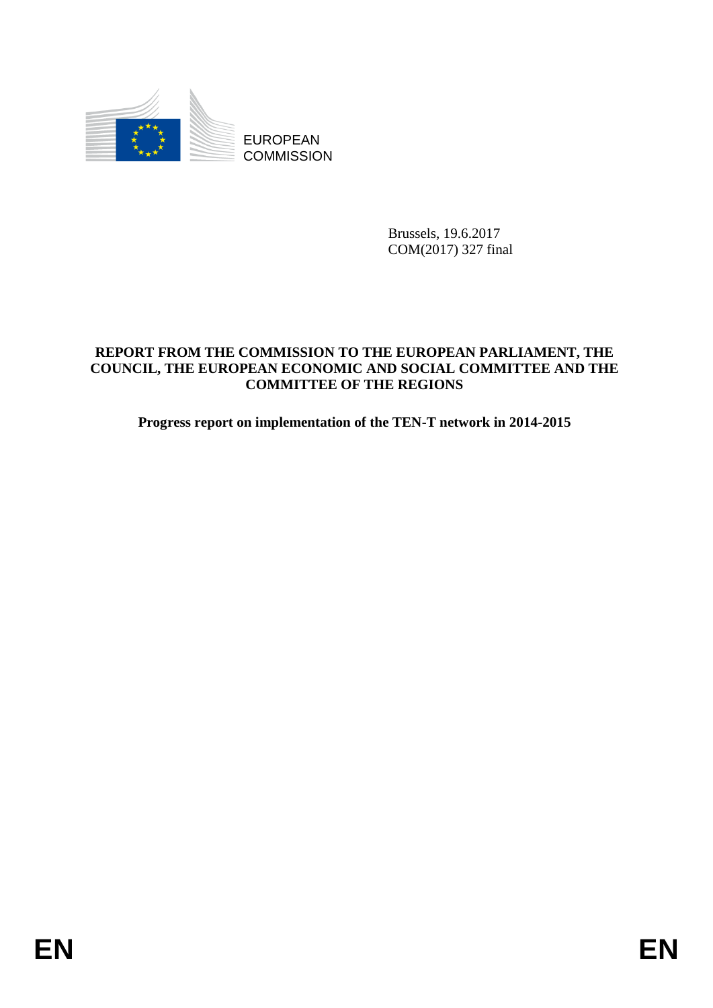

**COMMISSION** 

Brussels, 19.6.2017 COM(2017) 327 final

# EUROPEAN<br>
EUROPEAN<br>
ENDERT FROM THE COMMISSION<br>
Bussels, 19.4.2017<br>
CONSCIL, THE EUROPEAN ECONOMIC NAD SOCIAL CONDITIVER AND THE<br>
COUNCIL, THE EUROPEAN ECONOMIC NAD SOCIAL CONDITIVER AND THE<br>
Progress report on implementat **REPORT FROM THE COMMISSION TO THE EUROPEAN PARLIAMENT, THE COUNCIL, THE EUROPEAN ECONOMIC AND SOCIAL COMMITTEE AND THE COMMITTEE OF THE REGIONS**

**Progress report on implementation of the TEN-T network in 2014-2015**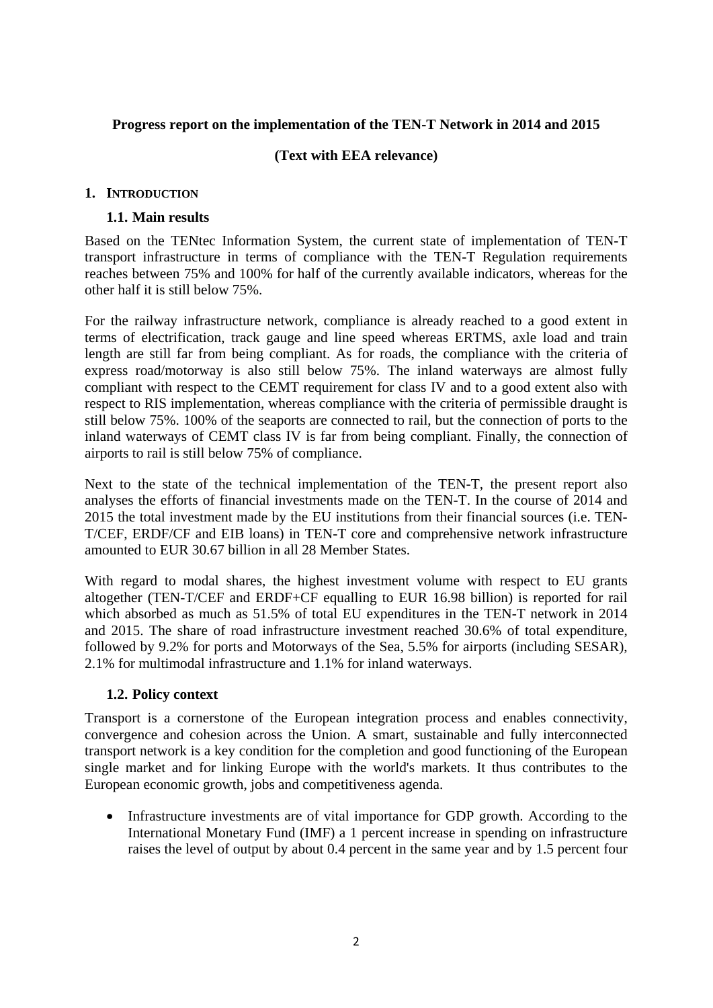# **Progress report on the implementation of the TEN-T Network in 2014 and 2015**

# **(Text with EEA relevance)**

#### **1. INTRODUCTION**

#### **1.1. Main results**

Based on the TENtec Information System, the current state of implementation of TEN-T transport infrastructure in terms of compliance with the TEN-T Regulation requirements reaches between 75% and 100% for half of the currently available indicators, whereas for the other half it is still below 75%.

For the railway infrastructure network, compliance is already reached to a good extent in terms of electrification, track gauge and line speed whereas ERTMS, axle load and train length are still far from being compliant. As for roads, the compliance with the criteria of express road/motorway is also still below 75%. The inland waterways are almost fully compliant with respect to the CEMT requirement for class IV and to a good extent also with respect to RIS implementation, whereas compliance with the criteria of permissible draught is still below 75%. 100% of the seaports are connected to rail, but the connection of ports to the inland waterways of CEMT class IV is far from being compliant. Finally, the connection of airports to rail is still below 75% of compliance.

Next to the state of the technical implementation of the TEN-T, the present report also analyses the efforts of financial investments made on the TEN-T. In the course of 2014 and 2015 the total investment made by the EU institutions from their financial sources (i.e. TEN-T/CEF, ERDF/CF and EIB loans) in TEN-T core and comprehensive network infrastructure amounted to EUR 30.67 billion in all 28 Member States.

With regard to modal shares, the highest investment volume with respect to EU grants altogether (TEN-T/CEF and ERDF+CF equalling to EUR 16.98 billion) is reported for rail which absorbed as much as 51.5% of total EU expenditures in the TEN-T network in 2014 and 2015. The share of road infrastructure investment reached 30.6% of total expenditure, followed by 9.2% for ports and Motorways of the Sea, 5.5% for airports (including SESAR), 2.1% for multimodal infrastructure and 1.1% for inland waterways.

#### **1.2. Policy context**

Transport is a cornerstone of the European integration process and enables connectivity, convergence and cohesion across the Union. A smart, sustainable and fully interconnected transport network is a key condition for the completion and good functioning of the European single market and for linking Europe with the world's markets. It thus contributes to the European economic growth, jobs and competitiveness agenda.

• Infrastructure investments are of vital importance for GDP growth. According to the International Monetary Fund (IMF) a 1 percent increase in spending on infrastructure raises the level of output by about 0.4 percent in the same year and by 1.5 percent four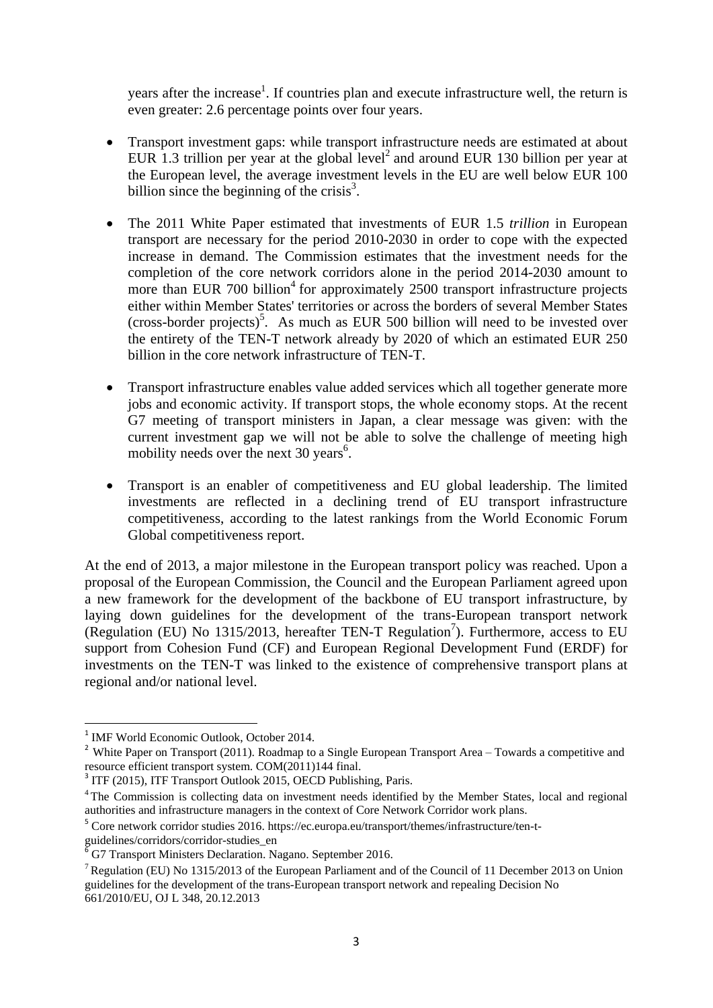years after the increase<sup>1</sup>. If countries plan and execute infrastructure well, the return is even greater: 2.6 percentage points over four years.

- Transport investment gaps: while transport infrastructure needs are estimated at about EUR 1.3 trillion per year at the global level<sup>2</sup> and around EUR 130 billion per year at the European level, the average investment levels in the EU are well below EUR 100 billion since the beginning of the crisis $3$ .
- The 2011 White Paper estimated that investments of EUR 1.5 *trillion* in European transport are necessary for the period 2010-2030 in order to cope with the expected increase in demand. The Commission estimates that the investment needs for the completion of the core network corridors alone in the period 2014-2030 amount to more than EUR 700 billion<sup>4</sup> for approximately 2500 transport infrastructure projects either within Member States' territories or across the borders of several Member States (cross-border projects)<sup>5</sup>. As much as EUR 500 billion will need to be invested over the entirety of the TEN-T network already by 2020 of which an estimated EUR 250 billion in the core network infrastructure of TEN-T.
- Transport infrastructure enables value added services which all together generate more jobs and economic activity. If transport stops, the whole economy stops. At the recent G7 meeting of transport ministers in Japan, a clear message was given: with the current investment gap we will not be able to solve the challenge of meeting high mobility needs over the next 30 years<sup>6</sup>.
- Transport is an enabler of competitiveness and EU global leadership. The limited investments are reflected in a declining trend of EU transport infrastructure competitiveness, according to the latest rankings from the World Economic Forum Global competitiveness report.

At the end of 2013, a major milestone in the European transport policy was reached. Upon a proposal of the European Commission, the Council and the European Parliament agreed upon a new framework for the development of the backbone of EU transport infrastructure, by laying down guidelines for the development of the trans-European transport network (Regulation (EU) No 1315/2013, hereafter TEN-T Regulation<sup>7</sup>). Furthermore, access to EU support from Cohesion Fund (CF) and European Regional Development Fund (ERDF) for investments on the TEN-T was linked to the existence of comprehensive transport plans at regional and/or national level.

<sup>&</sup>lt;sup>1</sup> IMF World Economic Outlook, October 2014.

<sup>&</sup>lt;sup>2</sup> White Paper on Transport (2011). Roadmap to a Single European Transport Area – Towards a competitive and resource efficient transport system. COM(2011)144 final.

<sup>&</sup>lt;sup>3</sup> ITF (2015), ITF Transport Outlook 2015, OECD Publishing, Paris.

<sup>&</sup>lt;sup>4</sup> The Commission is collecting data on investment needs identified by the Member States, local and regional authorities and infrastructure managers in the context of Core Network Corridor work plans.

<sup>&</sup>lt;sup>5</sup> Core network corridor studies 2016. https://ec.europa.eu/transport/themes/infrastructure/ten-t-

guidelines/corridors/corridor-studies\_en

 $6$  G7 Transport Ministers Declaration. Nagano. September 2016.

<sup>&</sup>lt;sup>7</sup>Regulation (EU) No 1315/2013 of the European Parliament and of the Council of 11 December 2013 on Union guidelines for the development of the trans-European transport network and repealing Decision No 661/2010/EU, OJ L 348, 20.12.2013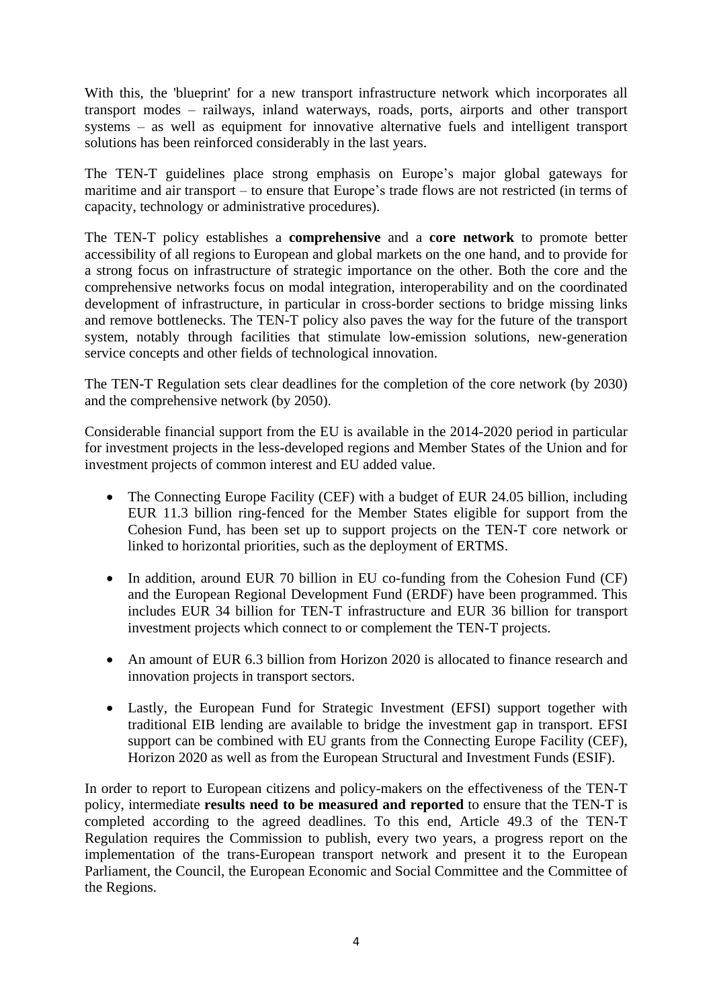With this, the 'blueprint' for a new transport infrastructure network which incorporates all transport modes – railways, inland waterways, roads, ports, airports and other transport systems – as well as equipment for innovative alternative fuels and intelligent transport solutions has been reinforced considerably in the last years.

The TEN-T guidelines place strong emphasis on Europe's major global gateways for maritime and air transport – to ensure that Europe's trade flows are not restricted (in terms of capacity, technology or administrative procedures).

The TEN-T policy establishes a **comprehensive** and a **core network** to promote better accessibility of all regions to European and global markets on the one hand, and to provide for a strong focus on infrastructure of strategic importance on the other. Both the core and the comprehensive networks focus on modal integration, interoperability and on the coordinated development of infrastructure, in particular in cross-border sections to bridge missing links and remove bottlenecks. The TEN-T policy also paves the way for the future of the transport system, notably through facilities that stimulate low-emission solutions, new-generation service concepts and other fields of technological innovation.

The TEN-T Regulation sets clear deadlines for the completion of the core network (by 2030) and the comprehensive network (by 2050).

Considerable financial support from the EU is available in the 2014-2020 period in particular for investment projects in the less-developed regions and Member States of the Union and for investment projects of common interest and EU added value.

- The Connecting Europe Facility (CEF) with a budget of EUR 24.05 billion, including EUR 11.3 billion ring-fenced for the Member States eligible for support from the Cohesion Fund, has been set up to support projects on the TEN-T core network or linked to horizontal priorities, such as the deployment of ERTMS.
- In addition, around EUR 70 billion in EU co-funding from the Cohesion Fund (CF) and the European Regional Development Fund (ERDF) have been programmed. This includes EUR 34 billion for TEN-T infrastructure and EUR 36 billion for transport investment projects which connect to or complement the TEN-T projects.
- An amount of EUR 6.3 billion from Horizon 2020 is allocated to finance research and innovation projects in transport sectors.
- Lastly, the European Fund for Strategic Investment (EFSI) support together with traditional EIB lending are available to bridge the investment gap in transport. EFSI support can be combined with EU grants from the Connecting Europe Facility (CEF), Horizon 2020 as well as from the European Structural and Investment Funds (ESIF).

In order to report to European citizens and policy-makers on the effectiveness of the TEN-T policy, intermediate **results need to be measured and reported** to ensure that the TEN-T is completed according to the agreed deadlines. To this end, Article 49.3 of the TEN-T Regulation requires the Commission to publish, every two years, a progress report on the implementation of the trans-European transport network and present it to the European Parliament, the Council, the European Economic and Social Committee and the Committee of the Regions.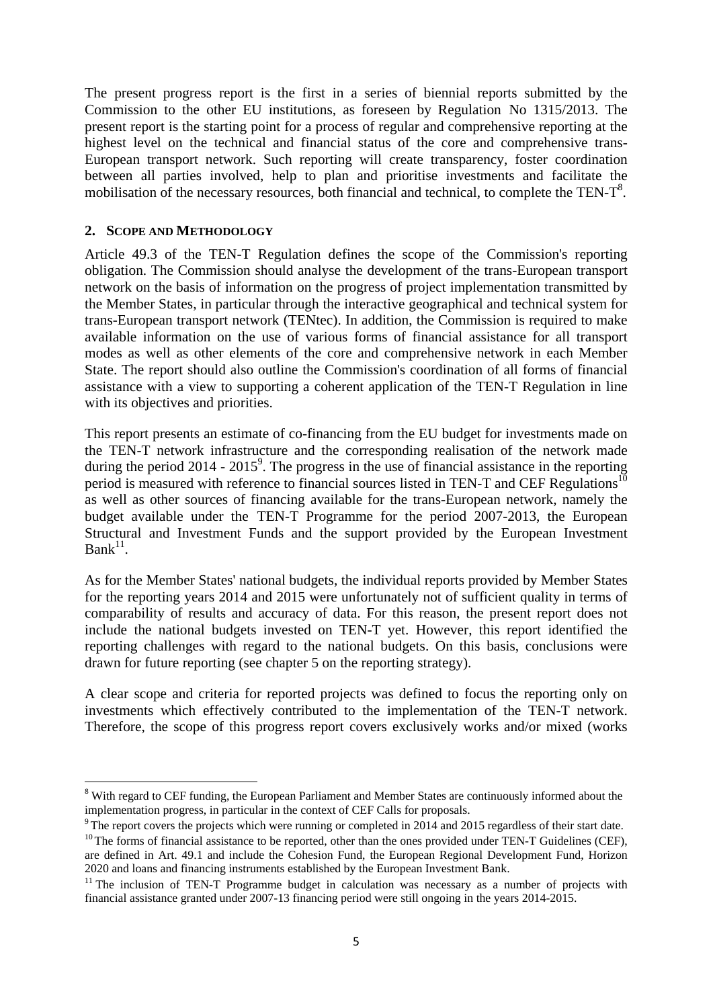The present progress report is the first in a series of biennial reports submitted by the Commission to the other EU institutions, as foreseen by Regulation No 1315/2013. The present report is the starting point for a process of regular and comprehensive reporting at the highest level on the technical and financial status of the core and comprehensive trans-European transport network. Such reporting will create transparency, foster coordination between all parties involved, help to plan and prioritise investments and facilitate the mobilisation of the necessary resources, both financial and technical, to complete the TEN-T<sup>8</sup>.

#### **2. SCOPE AND METHODOLOGY**

Article 49.3 of the TEN-T Regulation defines the scope of the Commission's reporting obligation. The Commission should analyse the development of the trans-European transport network on the basis of information on the progress of project implementation transmitted by the Member States, in particular through the interactive geographical and technical system for trans-European transport network (TENtec). In addition, the Commission is required to make available information on the use of various forms of financial assistance for all transport modes as well as other elements of the core and comprehensive network in each Member State. The report should also outline the Commission's coordination of all forms of financial assistance with a view to supporting a coherent application of the TEN-T Regulation in line with its objectives and priorities.

This report presents an estimate of co-financing from the EU budget for investments made on the TEN-T network infrastructure and the corresponding realisation of the network made during the period 2014 - 2015<sup>9</sup>. The progress in the use of financial assistance in the reporting period is measured with reference to financial sources listed in TEN-T and CEF Regulations<sup>10</sup> as well as other sources of financing available for the trans-European network, namely the budget available under the TEN-T Programme for the period 2007-2013, the European Structural and Investment Funds and the support provided by the European Investment  $Bank<sup>11</sup>$ .

As for the Member States' national budgets, the individual reports provided by Member States for the reporting years 2014 and 2015 were unfortunately not of sufficient quality in terms of comparability of results and accuracy of data. For this reason, the present report does not include the national budgets invested on TEN-T yet. However, this report identified the reporting challenges with regard to the national budgets. On this basis, conclusions were drawn for future reporting (see chapter 5 on the reporting strategy).

A clear scope and criteria for reported projects was defined to focus the reporting only on investments which effectively contributed to the implementation of the TEN-T network. Therefore, the scope of this progress report covers exclusively works and/or mixed (works

<sup>&</sup>lt;u>.</u> <sup>8</sup> With regard to CEF funding, the European Parliament and Member States are continuously informed about the implementation progress, in particular in the context of CEF Calls for proposals.

 $9$ <sup>9</sup> The report covers the projects which were running or completed in 2014 and 2015 regardless of their start date.

 $10$  The forms of financial assistance to be reported, other than the ones provided under TEN-T Guidelines (CEF), are defined in Art. 49.1 and include the Cohesion Fund, the European Regional Development Fund, Horizon 2020 and loans and financing instruments established by the European Investment Bank.

 $11$  The inclusion of TEN-T Programme budget in calculation was necessary as a number of projects with financial assistance granted under 2007-13 financing period were still ongoing in the years 2014-2015.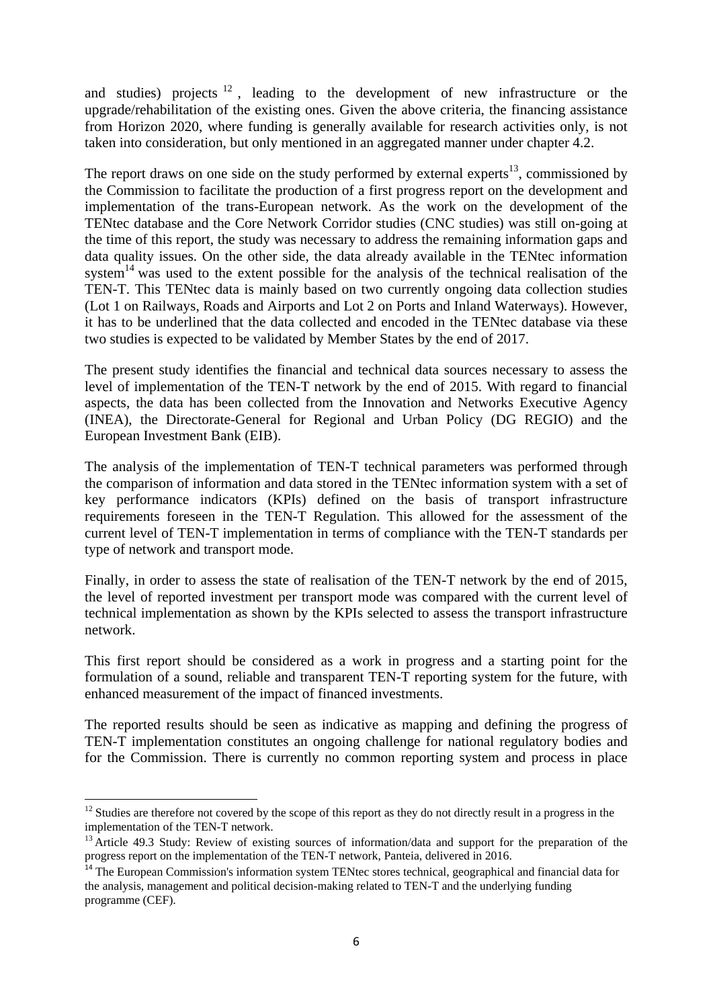and studies) projects  $12$ , leading to the development of new infrastructure or the upgrade/rehabilitation of the existing ones. Given the above criteria, the financing assistance from Horizon 2020, where funding is generally available for research activities only, is not taken into consideration, but only mentioned in an aggregated manner under chapter 4.2.

The report draws on one side on the study performed by external experts $^{13}$ , commissioned by the Commission to facilitate the production of a first progress report on the development and implementation of the trans-European network. As the work on the development of the TENtec database and the Core Network Corridor studies (CNC studies) was still on-going at the time of this report, the study was necessary to address the remaining information gaps and data quality issues. On the other side, the data already available in the TENtec information system<sup>14</sup> was used to the extent possible for the analysis of the technical realisation of the TEN-T. This TENtec data is mainly based on two currently ongoing data collection studies (Lot 1 on Railways, Roads and Airports and Lot 2 on Ports and Inland Waterways). However, it has to be underlined that the data collected and encoded in the TENtec database via these two studies is expected to be validated by Member States by the end of 2017.

The present study identifies the financial and technical data sources necessary to assess the level of implementation of the TEN-T network by the end of 2015. With regard to financial aspects, the data has been collected from the Innovation and Networks Executive Agency (INEA), the Directorate-General for Regional and Urban Policy (DG REGIO) and the European Investment Bank (EIB).

The analysis of the implementation of TEN-T technical parameters was performed through the comparison of information and data stored in the TENtec information system with a set of key performance indicators (KPIs) defined on the basis of transport infrastructure requirements foreseen in the TEN-T Regulation. This allowed for the assessment of the current level of TEN-T implementation in terms of compliance with the TEN-T standards per type of network and transport mode.

Finally, in order to assess the state of realisation of the TEN-T network by the end of 2015, the level of reported investment per transport mode was compared with the current level of technical implementation as shown by the KPIs selected to assess the transport infrastructure network.

This first report should be considered as a work in progress and a starting point for the formulation of a sound, reliable and transparent TEN-T reporting system for the future, with enhanced measurement of the impact of financed investments.

The reported results should be seen as indicative as mapping and defining the progress of TEN-T implementation constitutes an ongoing challenge for national regulatory bodies and for the Commission. There is currently no common reporting system and process in place

<sup>1</sup>  $12$  Studies are therefore not covered by the scope of this report as they do not directly result in a progress in the implementation of the TEN-T network.

<sup>&</sup>lt;sup>13</sup> Article 49.3 Study: Review of existing sources of information/data and support for the preparation of the progress report on the implementation of the TEN-T network, Panteia, delivered in 2016.

<sup>&</sup>lt;sup>14</sup> The European Commission's information system TENtec stores technical, geographical and financial data for the analysis, management and political decision-making related to TEN-T and the underlying funding programme (CEF).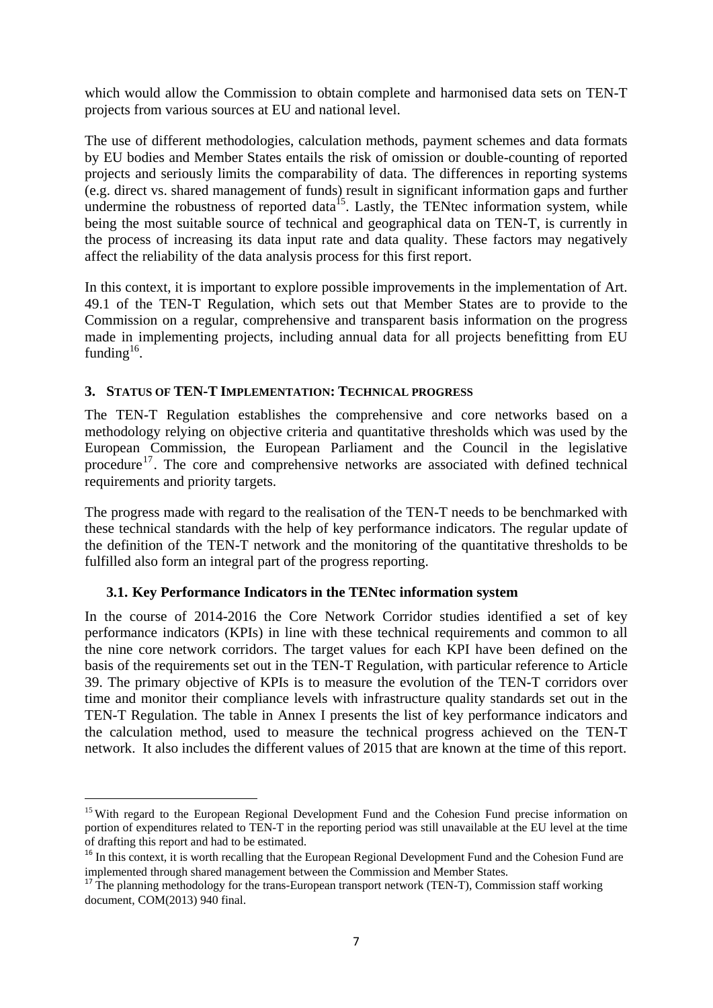which would allow the Commission to obtain complete and harmonised data sets on TEN-T projects from various sources at EU and national level.

The use of different methodologies, calculation methods, payment schemes and data formats by EU bodies and Member States entails the risk of omission or double-counting of reported projects and seriously limits the comparability of data. The differences in reporting systems (e.g. direct vs. shared management of funds) result in significant information gaps and further undermine the robustness of reported data<sup>15</sup>. Lastly, the TENtec information system, while being the most suitable source of technical and geographical data on TEN-T, is currently in the process of increasing its data input rate and data quality. These factors may negatively affect the reliability of the data analysis process for this first report.

In this context, it is important to explore possible improvements in the implementation of Art. 49.1 of the TEN-T Regulation, which sets out that Member States are to provide to the Commission on a regular, comprehensive and transparent basis information on the progress made in implementing projects, including annual data for all projects benefitting from EU funding $16$ .

#### **3. STATUS OF TEN-T IMPLEMENTATION: TECHNICAL PROGRESS**

The TEN-T Regulation establishes the comprehensive and core networks based on a methodology relying on objective criteria and quantitative thresholds which was used by the European Commission, the European Parliament and the Council in the legislative procedure<sup>17</sup>. The core and comprehensive networks are associated with defined technical requirements and priority targets.

The progress made with regard to the realisation of the TEN-T needs to be benchmarked with these technical standards with the help of key performance indicators. The regular update of the definition of the TEN-T network and the monitoring of the quantitative thresholds to be fulfilled also form an integral part of the progress reporting.

# **3.1. Key Performance Indicators in the TENtec information system**

1

In the course of 2014-2016 the Core Network Corridor studies identified a set of key performance indicators (KPIs) in line with these technical requirements and common to all the nine core network corridors. The target values for each KPI have been defined on the basis of the requirements set out in the TEN-T Regulation, with particular reference to Article 39. The primary objective of KPIs is to measure the evolution of the TEN-T corridors over time and monitor their compliance levels with infrastructure quality standards set out in the TEN-T Regulation. The table in Annex I presents the list of key performance indicators and the calculation method, used to measure the technical progress achieved on the TEN-T network. It also includes the different values of 2015 that are known at the time of this report.

<sup>&</sup>lt;sup>15</sup> With regard to the European Regional Development Fund and the Cohesion Fund precise information on portion of expenditures related to TEN-T in the reporting period was still unavailable at the EU level at the time of drafting this report and had to be estimated.

<sup>&</sup>lt;sup>16</sup> In this context, it is worth recalling that the European Regional Development Fund and the Cohesion Fund are implemented through shared management between the Commission and Member States.

<sup>&</sup>lt;sup>17</sup> The planning methodology for the trans-European transport network (TEN-T), Commission staff working document, COM(2013) 940 final.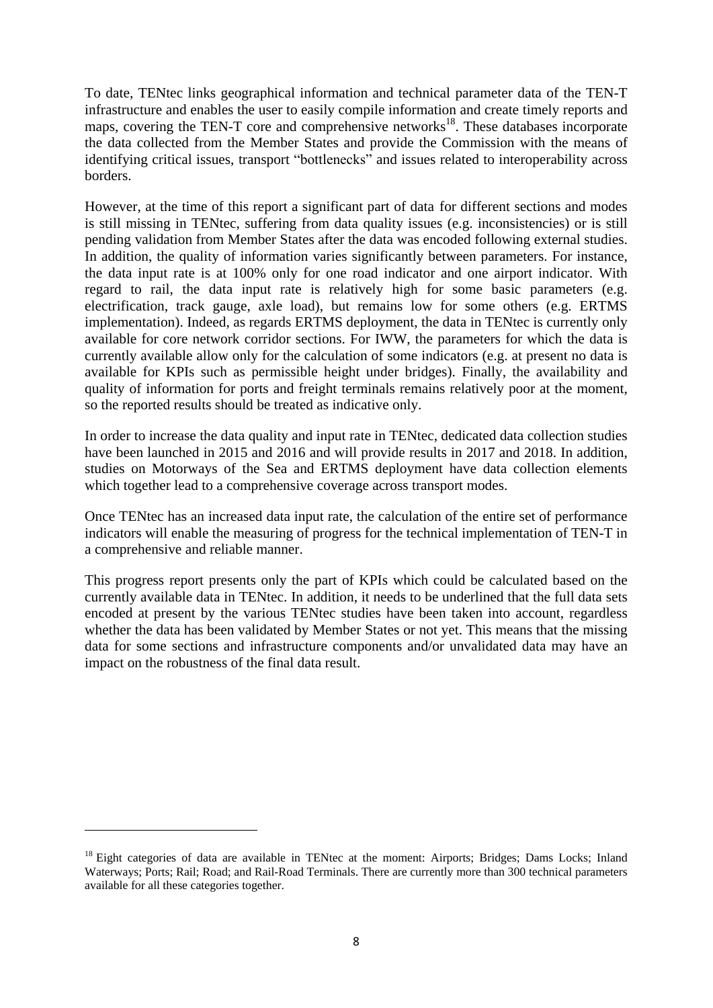To date, TENtec links geographical information and technical parameter data of the TEN-T infrastructure and enables the user to easily compile information and create timely reports and maps, covering the TEN-T core and comprehensive networks<sup>18</sup>. These databases incorporate the data collected from the Member States and provide the Commission with the means of identifying critical issues, transport "bottlenecks" and issues related to interoperability across borders.

However, at the time of this report a significant part of data for different sections and modes is still missing in TENtec, suffering from data quality issues (e.g. inconsistencies) or is still pending validation from Member States after the data was encoded following external studies. In addition, the quality of information varies significantly between parameters. For instance, the data input rate is at 100% only for one road indicator and one airport indicator. With regard to rail, the data input rate is relatively high for some basic parameters (e.g. electrification, track gauge, axle load), but remains low for some others (e.g. ERTMS implementation). Indeed, as regards ERTMS deployment, the data in TENtec is currently only available for core network corridor sections. For IWW, the parameters for which the data is currently available allow only for the calculation of some indicators (e.g. at present no data is available for KPIs such as permissible height under bridges). Finally, the availability and quality of information for ports and freight terminals remains relatively poor at the moment, so the reported results should be treated as indicative only.

In order to increase the data quality and input rate in TENtec, dedicated data collection studies have been launched in 2015 and 2016 and will provide results in 2017 and 2018. In addition, studies on Motorways of the Sea and ERTMS deployment have data collection elements which together lead to a comprehensive coverage across transport modes.

Once TENtec has an increased data input rate, the calculation of the entire set of performance indicators will enable the measuring of progress for the technical implementation of TEN-T in a comprehensive and reliable manner.

This progress report presents only the part of KPIs which could be calculated based on the currently available data in TENtec. In addition, it needs to be underlined that the full data sets encoded at present by the various TENtec studies have been taken into account, regardless whether the data has been validated by Member States or not yet. This means that the missing data for some sections and infrastructure components and/or unvalidated data may have an impact on the robustness of the final data result.

<sup>&</sup>lt;sup>18</sup> Eight categories of data are available in TENtec at the moment: Airports; Bridges; Dams Locks; Inland Waterways; Ports; Rail; Road; and Rail-Road Terminals. There are currently more than 300 technical parameters available for all these categories together.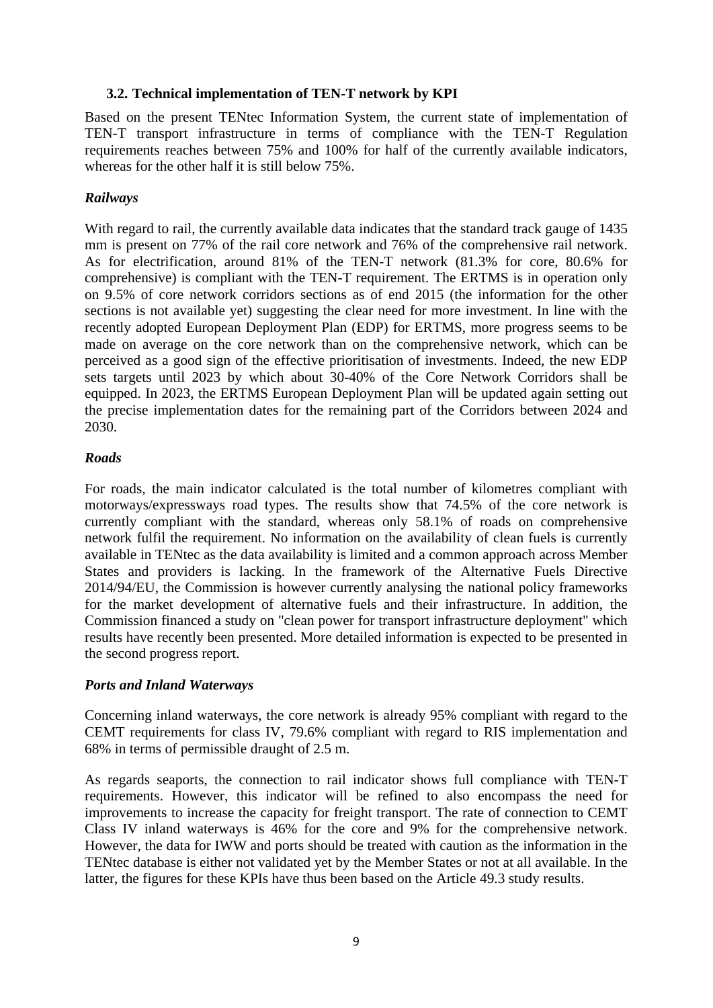#### **3.2. Technical implementation of TEN-T network by KPI**

Based on the present TENtec Information System, the current state of implementation of TEN-T transport infrastructure in terms of compliance with the TEN-T Regulation requirements reaches between 75% and 100% for half of the currently available indicators, whereas for the other half it is still below 75%.

# *Railways*

With regard to rail, the currently available data indicates that the standard track gauge of 1435 mm is present on 77% of the rail core network and 76% of the comprehensive rail network. As for electrification, around 81% of the TEN-T network (81.3% for core, 80.6% for comprehensive) is compliant with the TEN-T requirement. The ERTMS is in operation only on 9.5% of core network corridors sections as of end 2015 (the information for the other sections is not available yet) suggesting the clear need for more investment. In line with the recently adopted European Deployment Plan (EDP) for ERTMS, more progress seems to be made on average on the core network than on the comprehensive network, which can be perceived as a good sign of the effective prioritisation of investments. Indeed, the new EDP sets targets until 2023 by which about 30-40% of the Core Network [Corridors](https://ec.europa.eu/transport/node/2443) shall be equipped. In 2023, the ERTMS European Deployment Plan will be updated again setting out the precise implementation dates for the remaining part of the Corridors between 2024 and 2030.

#### *Roads*

For roads, the main indicator calculated is the total number of kilometres compliant with motorways/expressways road types. The results show that 74.5% of the core network is currently compliant with the standard, whereas only 58.1% of roads on comprehensive network fulfil the requirement. No information on the availability of clean fuels is currently available in TENtec as the data availability is limited and a common approach across Member States and providers is lacking. In the framework of the Alternative Fuels Directive 2014/94/EU, the Commission is however currently analysing the national policy frameworks for the market development of alternative fuels and their infrastructure. In addition, the Commission financed a study on "clean power for transport infrastructure deployment" which results have recently been presented. More detailed information is expected to be presented in the second progress report.

#### *Ports and Inland Waterways*

Concerning inland waterways, the core network is already 95% compliant with regard to the CEMT requirements for class IV, 79.6% compliant with regard to RIS implementation and 68% in terms of permissible draught of 2.5 m.

As regards seaports, the connection to rail indicator shows full compliance with TEN-T requirements. However, this indicator will be refined to also encompass the need for improvements to increase the capacity for freight transport. The rate of connection to CEMT Class IV inland waterways is 46% for the core and 9% for the comprehensive network. However, the data for IWW and ports should be treated with caution as the information in the TENtec database is either not validated yet by the Member States or not at all available. In the latter, the figures for these KPIs have thus been based on the Article 49.3 study results.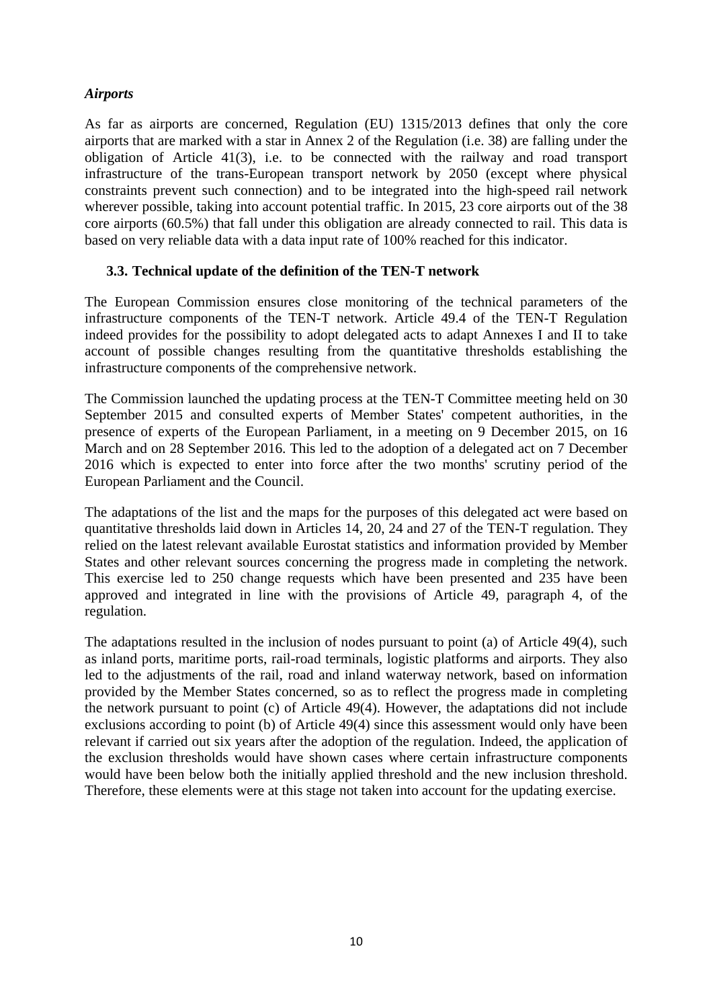# *Airports*

As far as airports are concerned, Regulation (EU) 1315/2013 defines that only the core airports that are marked with a star in Annex 2 of the Regulation (i.e. 38) are falling under the obligation of Article 41(3), i.e. to be connected with the railway and road transport infrastructure of the trans-European transport network by 2050 (except where physical constraints prevent such connection) and to be integrated into the high-speed rail network wherever possible, taking into account potential traffic. In 2015, 23 core airports out of the 38 core airports (60.5%) that fall under this obligation are already connected to rail. This data is based on very reliable data with a data input rate of 100% reached for this indicator.

#### **3.3. Technical update of the definition of the TEN-T network**

The European Commission ensures close monitoring of the technical parameters of the infrastructure components of the TEN-T network. Article 49.4 of the TEN-T Regulation indeed provides for the possibility to adopt delegated acts to adapt Annexes I and II to take account of possible changes resulting from the quantitative thresholds establishing the infrastructure components of the comprehensive network.

The Commission launched the updating process at the TEN-T Committee meeting held on 30 September 2015 and consulted experts of Member States' competent authorities, in the presence of experts of the European Parliament, in a meeting on 9 December 2015, on 16 March and on 28 September 2016. This led to the adoption of a delegated act on 7 December 2016 which is expected to enter into force after the two months' scrutiny period of the European Parliament and the Council.

The adaptations of the list and the maps for the purposes of this delegated act were based on quantitative thresholds laid down in Articles 14, 20, 24 and 27 of the TEN-T regulation. They relied on the latest relevant available Eurostat statistics and information provided by Member States and other relevant sources concerning the progress made in completing the network. This exercise led to 250 change requests which have been presented and 235 have been approved and integrated in line with the provisions of Article 49, paragraph 4, of the regulation.

The adaptations resulted in the inclusion of nodes pursuant to point (a) of Article 49(4), such as inland ports, maritime ports, rail-road terminals, logistic platforms and airports. They also led to the adjustments of the rail, road and inland waterway network, based on information provided by the Member States concerned, so as to reflect the progress made in completing the network pursuant to point (c) of Article 49(4). However, the adaptations did not include exclusions according to point (b) of Article 49(4) since this assessment would only have been relevant if carried out six years after the adoption of the regulation. Indeed, the application of the exclusion thresholds would have shown cases where certain infrastructure components would have been below both the initially applied threshold and the new inclusion threshold. Therefore, these elements were at this stage not taken into account for the updating exercise.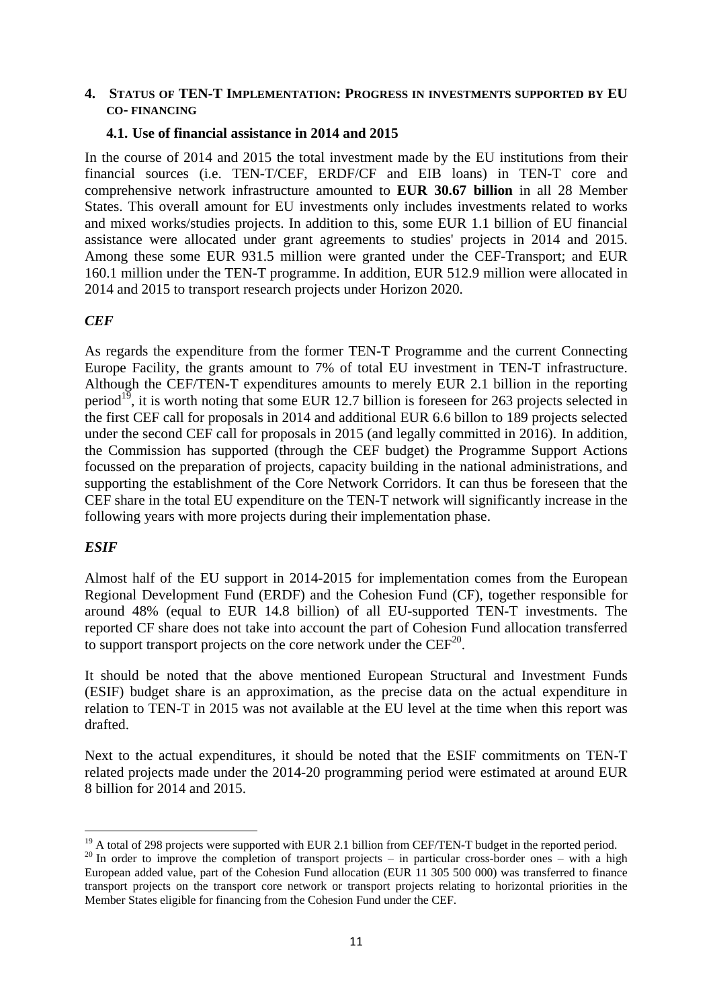#### **4. STATUS OF TEN-T IMPLEMENTATION: PROGRESS IN INVESTMENTS SUPPORTED BY EU CO- FINANCING**

#### **4.1. Use of financial assistance in 2014 and 2015**

In the course of 2014 and 2015 the total investment made by the EU institutions from their financial sources (i.e. TEN-T/CEF, ERDF/CF and EIB loans) in TEN-T core and comprehensive network infrastructure amounted to **EUR 30.67 billion** in all 28 Member States. This overall amount for EU investments only includes investments related to works and mixed works/studies projects. In addition to this, some EUR 1.1 billion of EU financial assistance were allocated under grant agreements to studies' projects in 2014 and 2015. Among these some EUR 931.5 million were granted under the CEF-Transport; and EUR 160.1 million under the TEN-T programme. In addition, EUR 512.9 million were allocated in 2014 and 2015 to transport research projects under Horizon 2020.

#### *CEF*

As regards the expenditure from the former TEN-T Programme and the current Connecting Europe Facility, the grants amount to 7% of total EU investment in TEN-T infrastructure. Although the CEF/TEN-T expenditures amounts to merely EUR 2.1 billion in the reporting period<sup>19</sup>, it is worth noting that some EUR 12.7 billion is foreseen for 263 projects selected in the first CEF call for proposals in 2014 and additional EUR 6.6 billon to 189 projects selected under the second CEF call for proposals in 2015 (and legally committed in 2016). In addition, the Commission has supported (through the CEF budget) the Programme Support Actions focussed on the preparation of projects, capacity building in the national administrations, and supporting the establishment of the Core Network Corridors. It can thus be foreseen that the CEF share in the total EU expenditure on the TEN-T network will significantly increase in the following years with more projects during their implementation phase.

#### *ESIF*

1

Almost half of the EU support in 2014-2015 for implementation comes from the European Regional Development Fund (ERDF) and the Cohesion Fund (CF), together responsible for around 48% (equal to EUR 14.8 billion) of all EU-supported TEN-T investments. The reported CF share does not take into account the part of Cohesion Fund allocation transferred to support transport projects on the core network under the  $\text{CEF}^{20}$ .

It should be noted that the above mentioned European Structural and Investment Funds (ESIF) budget share is an approximation, as the precise data on the actual expenditure in relation to TEN-T in 2015 was not available at the EU level at the time when this report was drafted.

Next to the actual expenditures, it should be noted that the ESIF commitments on TEN-T related projects made under the 2014-20 programming period were estimated at around EUR 8 billion for 2014 and 2015.

<sup>&</sup>lt;sup>19</sup> A total of 298 projects were supported with EUR 2.1 billion from CEF/TEN-T budget in the reported period.

<sup>&</sup>lt;sup>20</sup> In order to improve the completion of transport projects – in particular cross-border ones – with a high European added value, part of the Cohesion Fund allocation (EUR 11 305 500 000) was transferred to finance transport projects on the transport core network or transport projects relating to horizontal priorities in the Member States eligible for financing from the Cohesion Fund under the CEF.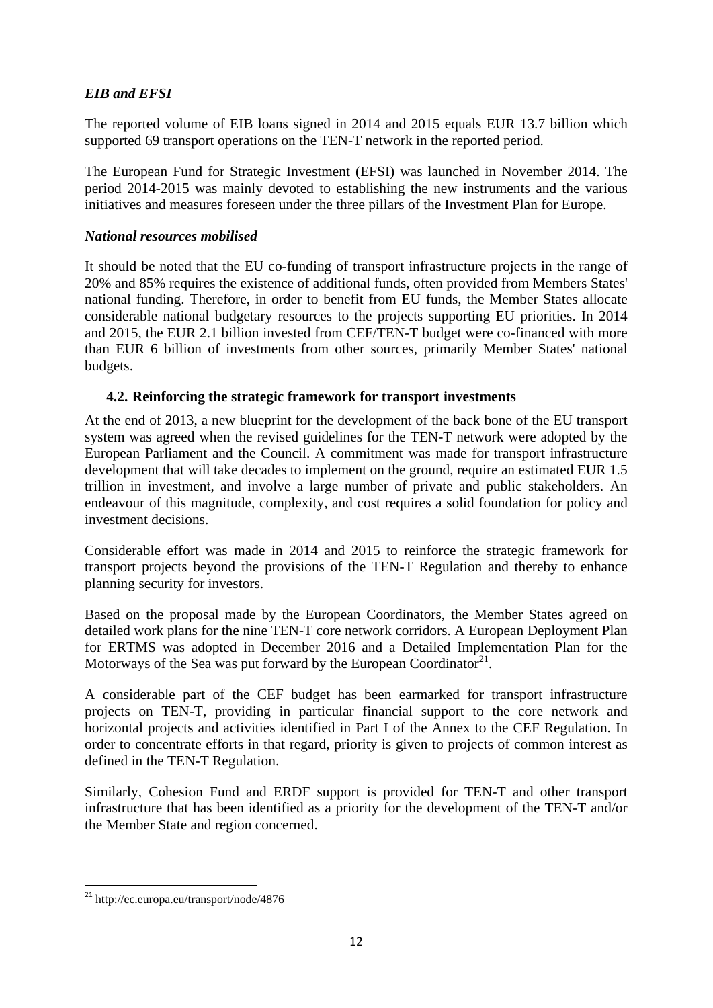# *EIB and EFSI*

The reported volume of EIB loans signed in 2014 and 2015 equals EUR 13.7 billion which supported 69 transport operations on the TEN-T network in the reported period.

The European Fund for Strategic Investment (EFSI) was launched in November 2014. The period 2014-2015 was mainly devoted to establishing the new instruments and the various initiatives and measures foreseen under the three pillars of the Investment Plan for Europe.

# *National resources mobilised*

It should be noted that the EU co-funding of transport infrastructure projects in the range of 20% and 85% requires the existence of additional funds, often provided from Members States' national funding. Therefore, in order to benefit from EU funds, the Member States allocate considerable national budgetary resources to the projects supporting EU priorities. In 2014 and 2015, the EUR 2.1 billion invested from CEF/TEN-T budget were co-financed with more than EUR 6 billion of investments from other sources, primarily Member States' national budgets.

# **4.2. Reinforcing the strategic framework for transport investments**

At the end of 2013, a new blueprint for the development of the back bone of the EU transport system was agreed when the revised guidelines for the TEN-T network were adopted by the European Parliament and the Council. A commitment was made for transport infrastructure development that will take decades to implement on the ground, require an estimated EUR 1.5 trillion in investment, and involve a large number of private and public stakeholders. An endeavour of this magnitude, complexity, and cost requires a solid foundation for policy and investment decisions.

Considerable effort was made in 2014 and 2015 to reinforce the strategic framework for transport projects beyond the provisions of the TEN-T Regulation and thereby to enhance planning security for investors.

Based on the proposal made by the European Coordinators, the Member States agreed on detailed work plans for the nine TEN-T core network corridors. A European Deployment Plan for ERTMS was adopted in December 2016 and a Detailed Implementation Plan for the Motorways of the Sea was put forward by the European Coordinator<sup>21</sup>.

A considerable part of the CEF budget has been earmarked for transport infrastructure projects on TEN-T, providing in particular financial support to the core network and horizontal projects and activities identified in Part I of the Annex to the CEF Regulation. In order to concentrate efforts in that regard, priority is given to projects of common interest as defined in the TEN-T Regulation.

Similarly, Cohesion Fund and ERDF support is provided for TEN-T and other transport infrastructure that has been identified as a priority for the development of the TEN-T and/or the Member State and region concerned.

<sup>&</sup>lt;sup>21</sup> http://ec.europa.eu/transport/node/4876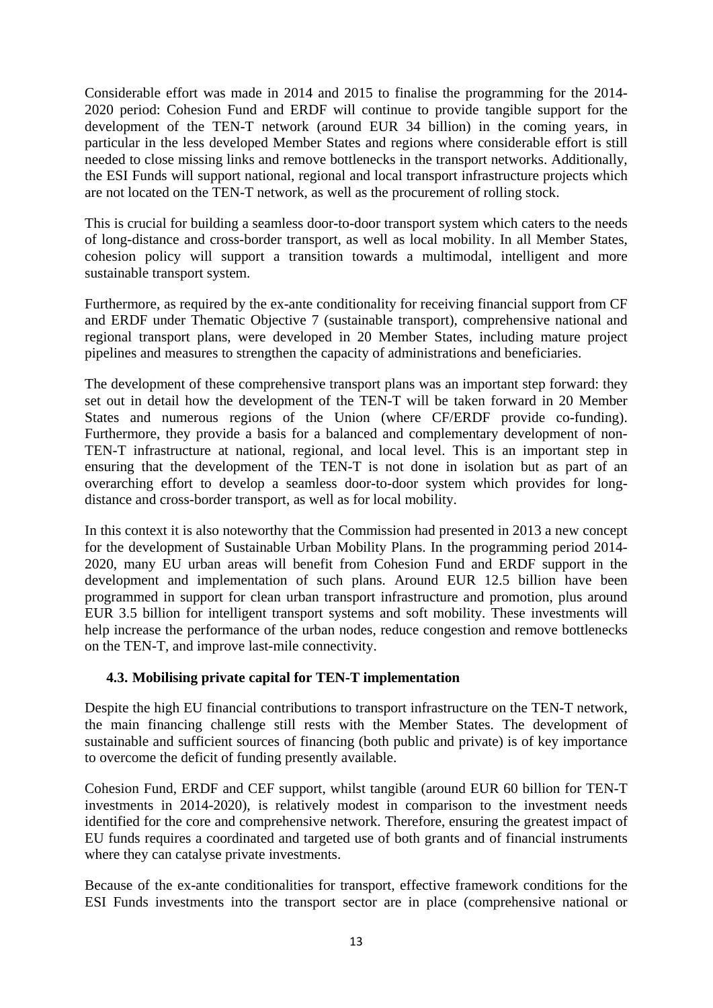Considerable effort was made in 2014 and 2015 to finalise the programming for the 2014- 2020 period: Cohesion Fund and ERDF will continue to provide tangible support for the development of the TEN-T network (around EUR 34 billion) in the coming years, in particular in the less developed Member States and regions where considerable effort is still needed to close missing links and remove bottlenecks in the transport networks. Additionally, the ESI Funds will support national, regional and local transport infrastructure projects which are not located on the TEN-T network, as well as the procurement of rolling stock.

This is crucial for building a seamless door-to-door transport system which caters to the needs of long-distance and cross-border transport, as well as local mobility. In all Member States, cohesion policy will support a transition towards a multimodal, intelligent and more sustainable transport system.

Furthermore, as required by the ex-ante conditionality for receiving financial support from CF and ERDF under Thematic Objective 7 (sustainable transport), comprehensive national and regional transport plans, were developed in 20 Member States, including mature project pipelines and measures to strengthen the capacity of administrations and beneficiaries.

The development of these comprehensive transport plans was an important step forward: they set out in detail how the development of the TEN-T will be taken forward in 20 Member States and numerous regions of the Union (where CF/ERDF provide co-funding). Furthermore, they provide a basis for a balanced and complementary development of non-TEN-T infrastructure at national, regional, and local level. This is an important step in ensuring that the development of the TEN-T is not done in isolation but as part of an overarching effort to develop a seamless door-to-door system which provides for longdistance and cross-border transport, as well as for local mobility.

In this context it is also noteworthy that the Commission had presented in 2013 a new concept for the development of Sustainable Urban Mobility Plans. In the programming period 2014- 2020, many EU urban areas will benefit from Cohesion Fund and ERDF support in the development and implementation of such plans. Around EUR 12.5 billion have been programmed in support for clean urban transport infrastructure and promotion, plus around EUR 3.5 billion for intelligent transport systems and soft mobility. These investments will help increase the performance of the urban nodes, reduce congestion and remove bottlenecks on the TEN-T, and improve last-mile connectivity.

# **4.3. Mobilising private capital for TEN-T implementation**

Despite the high EU financial contributions to transport infrastructure on the TEN-T network, the main financing challenge still rests with the Member States. The development of sustainable and sufficient sources of financing (both public and private) is of key importance to overcome the deficit of funding presently available.

Cohesion Fund, ERDF and CEF support, whilst tangible (around EUR 60 billion for TEN-T investments in 2014-2020), is relatively modest in comparison to the investment needs identified for the core and comprehensive network. Therefore, ensuring the greatest impact of EU funds requires a coordinated and targeted use of both grants and of financial instruments where they can catalyse private investments.

Because of the ex-ante conditionalities for transport, effective framework conditions for the ESI Funds investments into the transport sector are in place (comprehensive national or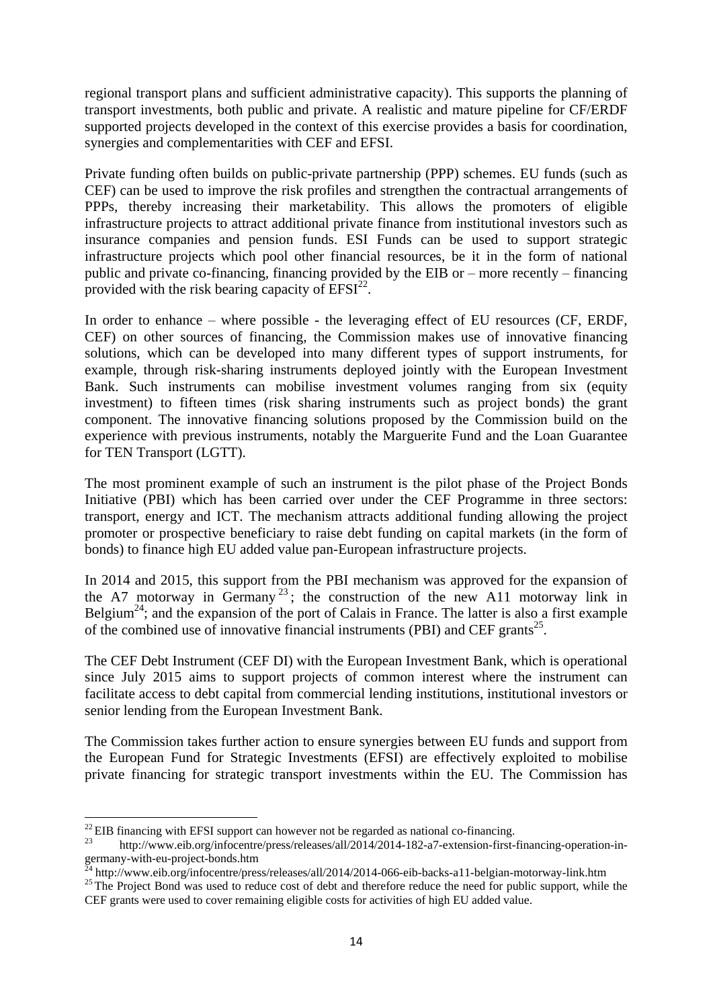regional transport plans and sufficient administrative capacity). This supports the planning of transport investments, both public and private. A realistic and mature pipeline for CF/ERDF supported projects developed in the context of this exercise provides a basis for coordination, synergies and complementarities with CEF and EFSI.

Private funding often builds on public-private partnership (PPP) schemes. EU funds (such as CEF) can be used to improve the risk profiles and strengthen the contractual arrangements of PPPs, thereby increasing their marketability. This allows the promoters of eligible infrastructure projects to attract additional private finance from institutional investors such as insurance companies and pension funds. ESI Funds can be used to support strategic infrastructure projects which pool other financial resources, be it in the form of national public and private co-financing, financing provided by the EIB or – more recently – financing provided with the risk bearing capacity of  $EFSI<sup>22</sup>$ .

In order to enhance – where possible - the leveraging effect of EU resources (CF, ERDF, CEF) on other sources of financing, the Commission makes use of innovative financing solutions, which can be developed into many different types of support instruments, for example, through risk-sharing instruments deployed jointly with the European Investment Bank. Such instruments can mobilise investment volumes ranging from six (equity investment) to fifteen times (risk sharing instruments such as project bonds) the grant component. The innovative financing solutions proposed by the Commission build on the experience with previous instruments, notably the Marguerite Fund and the Loan Guarantee for TEN Transport (LGTT).

The most prominent example of such an instrument is the pilot phase of the Project Bonds Initiative (PBI) which has been carried over under the CEF Programme in three sectors: transport, energy and ICT. The mechanism attracts additional funding allowing the project promoter or prospective beneficiary to raise debt funding on capital markets (in the form of bonds) to finance high EU added value pan-European infrastructure projects.

In 2014 and 2015, this support from the PBI mechanism was approved for the expansion of the A7 motorway in Germany<sup>23</sup>; the construction of the new A11 motorway link in Belgium<sup>24</sup>; and the expansion of the port of Calais in France. The latter is also a first example of the combined use of innovative financial instruments (PBI) and CEF grants<sup>25</sup>.

The CEF Debt Instrument (CEF DI) with the European Investment Bank, which is operational since July 2015 aims to support projects of common interest where the instrument can facilitate access to debt capital from commercial lending institutions, institutional investors or senior lending from the European Investment Bank.

The Commission takes further action to ensure synergies between EU funds and support from the European Fund for Strategic Investments (EFSI) are effectively exploited to mobilise private financing for strategic transport investments within the EU. The Commission has

 $^{22}$  EIB financing with EFSI support can however not be regarded as national co-financing.

http://www.eib.org/infocentre/press/releases/all/2014/2014-182-a7-extension-first-financing-operation-ingermany-with-eu-project-bonds.htm

 $^{24}$  http://www.eib.org/infocentre/press/releases/all/2014/2014-066-eib-backs-a11-belgian-motorway-link.htm

<sup>&</sup>lt;sup>25</sup> The Project Bond was used to reduce cost of debt and therefore reduce the need for public support, while the CEF grants were used to cover remaining eligible costs for activities of high EU added value.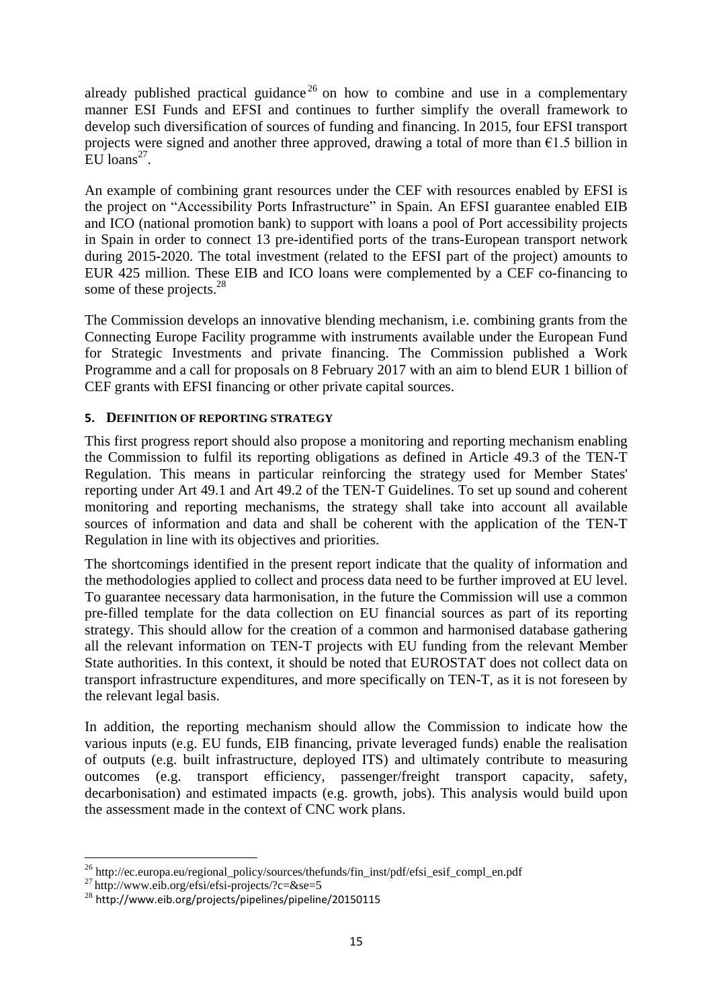already published practical guidance<sup>26</sup> on how to combine and use in a complementary manner ESI Funds and EFSI and continues to further simplify the overall framework to develop such diversification of sources of funding and financing. In 2015, four EFSI transport projects were signed and another three approved, drawing a total of more than  $\epsilon$ 1.5 billion in  $\mathrm{EU}$  loans<sup>27</sup>.

An example of combining grant resources under the CEF with resources enabled by EFSI is the project on "Accessibility Ports Infrastructure" in Spain. An EFSI guarantee enabled EIB and ICO (national promotion bank) to support with loans a pool of Port accessibility projects in Spain in order to connect 13 pre-identified ports of the trans-European transport network during 2015-2020. The total investment (related to the EFSI part of the project) amounts to EUR 425 million. These EIB and ICO loans were complemented by a CEF co-financing to some of these projects.<sup>28</sup>

The Commission develops an innovative blending mechanism, i.e. combining grants from the Connecting Europe Facility programme with instruments available under the European Fund for Strategic Investments and private financing. The Commission published a Work Programme and a call for proposals on 8 February 2017 with an aim to blend EUR 1 billion of CEF grants with EFSI financing or other private capital sources.

#### **5. DEFINITION OF REPORTING STRATEGY**

This first progress report should also propose a monitoring and reporting mechanism enabling the Commission to fulfil its reporting obligations as defined in Article 49.3 of the TEN-T Regulation. This means in particular reinforcing the strategy used for Member States' reporting under Art 49.1 and Art 49.2 of the TEN-T Guidelines. To set up sound and coherent monitoring and reporting mechanisms, the strategy shall take into account all available sources of information and data and shall be coherent with the application of the TEN-T Regulation in line with its objectives and priorities.

The shortcomings identified in the present report indicate that the quality of information and the methodologies applied to collect and process data need to be further improved at EU level. To guarantee necessary data harmonisation, in the future the Commission will use a common pre-filled template for the data collection on EU financial sources as part of its reporting strategy. This should allow for the creation of a common and harmonised database gathering all the relevant information on TEN-T projects with EU funding from the relevant Member State authorities. In this context, it should be noted that EUROSTAT does not collect data on transport infrastructure expenditures, and more specifically on TEN-T, as it is not foreseen by the relevant legal basis.

In addition, the reporting mechanism should allow the Commission to indicate how the various inputs (e.g. EU funds, EIB financing, private leveraged funds) enable the realisation of outputs (e.g. built infrastructure, deployed ITS) and ultimately contribute to measuring outcomes (e.g. transport efficiency, passenger/freight transport capacity, safety, decarbonisation) and estimated impacts (e.g. growth, jobs). This analysis would build upon the assessment made in the context of CNC work plans.

<sup>&</sup>lt;sup>26</sup> http://ec.europa.eu/regional\_policy/sources/thefunds/fin\_inst/pdf/efsi\_esif\_compl\_en.pdf

 $^{27}$  http://www.eib.org/efsi/efsi-projects/?c=&se=5

<sup>28</sup> http://www.eib.org/projects/pipelines/pipeline/20150115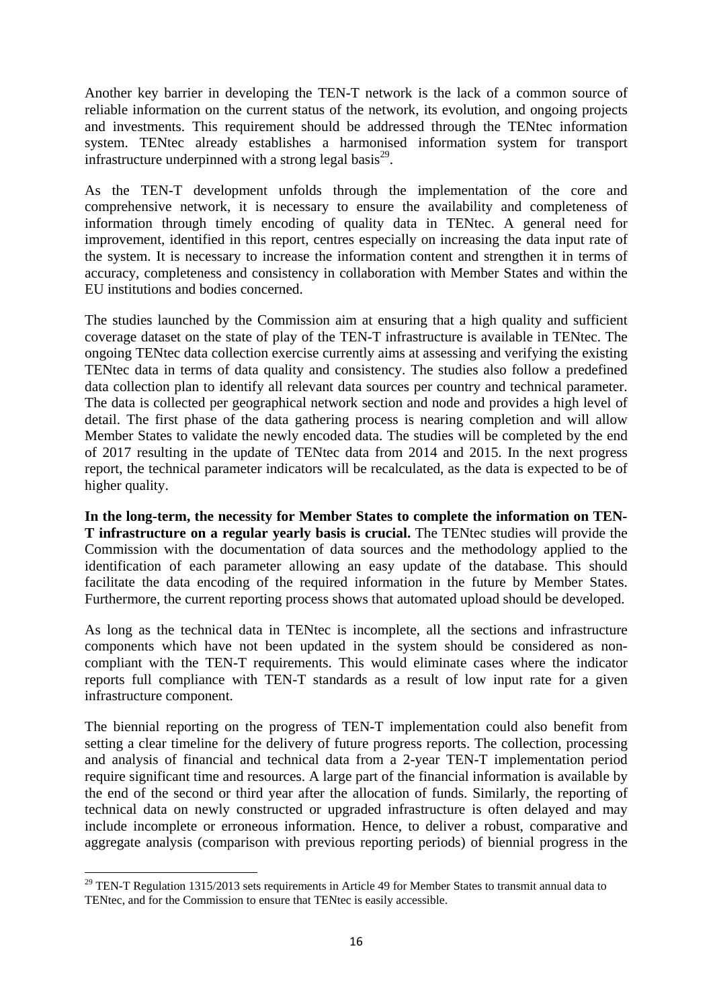Another key barrier in developing the TEN-T network is the lack of a common source of reliable information on the current status of the network, its evolution, and ongoing projects and investments. This requirement should be addressed through the TENtec information system. TENtec already establishes a harmonised information system for transport infrastructure underpinned with a strong legal basis<sup>29</sup>.

As the TEN-T development unfolds through the implementation of the core and comprehensive network, it is necessary to ensure the availability and completeness of information through timely encoding of quality data in TENtec. A general need for improvement, identified in this report, centres especially on increasing the data input rate of the system. It is necessary to increase the information content and strengthen it in terms of accuracy, completeness and consistency in collaboration with Member States and within the EU institutions and bodies concerned.

The studies launched by the Commission aim at ensuring that a high quality and sufficient coverage dataset on the state of play of the TEN-T infrastructure is available in TENtec. The ongoing TENtec data collection exercise currently aims at assessing and verifying the existing TENtec data in terms of data quality and consistency. The studies also follow a predefined data collection plan to identify all relevant data sources per country and technical parameter. The data is collected per geographical network section and node and provides a high level of detail. The first phase of the data gathering process is nearing completion and will allow Member States to validate the newly encoded data. The studies will be completed by the end of 2017 resulting in the update of TENtec data from 2014 and 2015. In the next progress report, the technical parameter indicators will be recalculated, as the data is expected to be of higher quality.

**In the long-term, the necessity for Member States to complete the information on TEN-T infrastructure on a regular yearly basis is crucial.** The TENtec studies will provide the Commission with the documentation of data sources and the methodology applied to the identification of each parameter allowing an easy update of the database. This should facilitate the data encoding of the required information in the future by Member States. Furthermore, the current reporting process shows that automated upload should be developed.

As long as the technical data in TENtec is incomplete, all the sections and infrastructure components which have not been updated in the system should be considered as noncompliant with the TEN-T requirements. This would eliminate cases where the indicator reports full compliance with TEN-T standards as a result of low input rate for a given infrastructure component.

The biennial reporting on the progress of TEN-T implementation could also benefit from setting a clear timeline for the delivery of future progress reports. The collection, processing and analysis of financial and technical data from a 2-year TEN-T implementation period require significant time and resources. A large part of the financial information is available by the end of the second or third year after the allocation of funds. Similarly, the reporting of technical data on newly constructed or upgraded infrastructure is often delayed and may include incomplete or erroneous information. Hence, to deliver a robust, comparative and aggregate analysis (comparison with previous reporting periods) of biennial progress in the

 $^{29}$  TEN-T Regulation 1315/2013 sets requirements in Article 49 for Member States to transmit annual data to TENtec, and for the Commission to ensure that TENtec is easily accessible.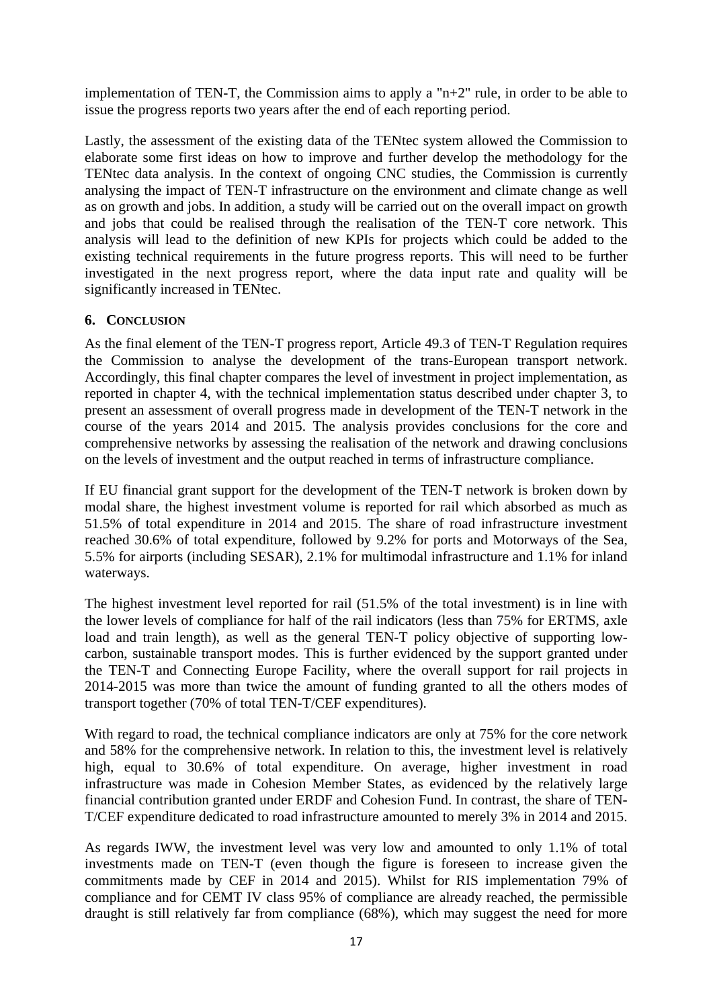implementation of TEN-T, the Commission aims to apply a "n+2" rule, in order to be able to issue the progress reports two years after the end of each reporting period.

Lastly, the assessment of the existing data of the TENtec system allowed the Commission to elaborate some first ideas on how to improve and further develop the methodology for the TENtec data analysis. In the context of ongoing CNC studies, the Commission is currently analysing the impact of TEN-T infrastructure on the environment and climate change as well as on growth and jobs. In addition, a study will be carried out on the overall impact on growth and jobs that could be realised through the realisation of the TEN-T core network. This analysis will lead to the definition of new KPIs for projects which could be added to the existing technical requirements in the future progress reports. This will need to be further investigated in the next progress report, where the data input rate and quality will be significantly increased in TENtec.

#### **6. CONCLUSION**

As the final element of the TEN-T progress report, Article 49.3 of TEN-T Regulation requires the Commission to analyse the development of the trans-European transport network. Accordingly, this final chapter compares the level of investment in project implementation, as reported in chapter 4, with the technical implementation status described under chapter 3, to present an assessment of overall progress made in development of the TEN-T network in the course of the years 2014 and 2015. The analysis provides conclusions for the core and comprehensive networks by assessing the realisation of the network and drawing conclusions on the levels of investment and the output reached in terms of infrastructure compliance.

If EU financial grant support for the development of the TEN-T network is broken down by modal share, the highest investment volume is reported for rail which absorbed as much as 51.5% of total expenditure in 2014 and 2015. The share of road infrastructure investment reached 30.6% of total expenditure, followed by 9.2% for ports and Motorways of the Sea, 5.5% for airports (including SESAR), 2.1% for multimodal infrastructure and 1.1% for inland waterways.

The highest investment level reported for rail (51.5% of the total investment) is in line with the lower levels of compliance for half of the rail indicators (less than 75% for ERTMS, axle load and train length), as well as the general TEN-T policy objective of supporting lowcarbon, sustainable transport modes. This is further evidenced by the support granted under the TEN-T and Connecting Europe Facility, where the overall support for rail projects in 2014-2015 was more than twice the amount of funding granted to all the others modes of transport together (70% of total TEN-T/CEF expenditures).

With regard to road, the technical compliance indicators are only at 75% for the core network and 58% for the comprehensive network. In relation to this, the investment level is relatively high, equal to 30.6% of total expenditure. On average, higher investment in road infrastructure was made in Cohesion Member States, as evidenced by the relatively large financial contribution granted under ERDF and Cohesion Fund. In contrast, the share of TEN-T/CEF expenditure dedicated to road infrastructure amounted to merely 3% in 2014 and 2015.

As regards IWW, the investment level was very low and amounted to only 1.1% of total investments made on TEN-T (even though the figure is foreseen to increase given the commitments made by CEF in 2014 and 2015). Whilst for RIS implementation 79% of compliance and for CEMT IV class 95% of compliance are already reached, the permissible draught is still relatively far from compliance (68%), which may suggest the need for more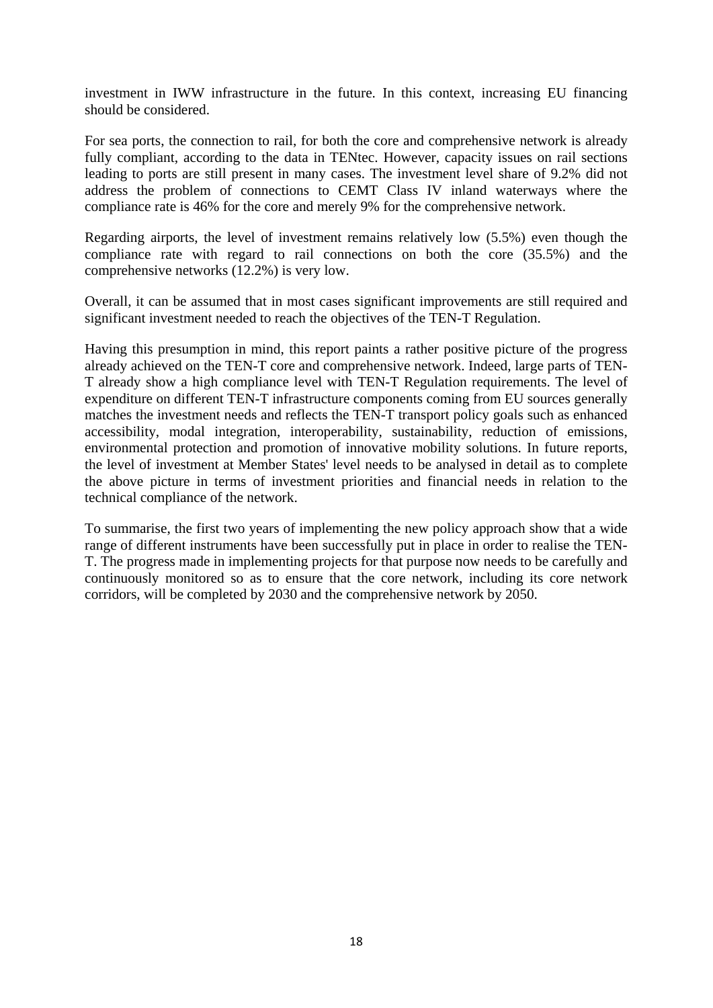investment in IWW infrastructure in the future. In this context, increasing EU financing should be considered.

For sea ports, the connection to rail, for both the core and comprehensive network is already fully compliant, according to the data in TENtec. However, capacity issues on rail sections leading to ports are still present in many cases. The investment level share of 9.2% did not address the problem of connections to CEMT Class IV inland waterways where the compliance rate is 46% for the core and merely 9% for the comprehensive network.

Regarding airports, the level of investment remains relatively low (5.5%) even though the compliance rate with regard to rail connections on both the core (35.5%) and the comprehensive networks (12.2%) is very low.

Overall, it can be assumed that in most cases significant improvements are still required and significant investment needed to reach the objectives of the TEN-T Regulation.

Having this presumption in mind, this report paints a rather positive picture of the progress already achieved on the TEN-T core and comprehensive network. Indeed, large parts of TEN-T already show a high compliance level with TEN-T Regulation requirements. The level of expenditure on different TEN-T infrastructure components coming from EU sources generally matches the investment needs and reflects the TEN-T transport policy goals such as enhanced accessibility, modal integration, interoperability, sustainability, reduction of emissions, environmental protection and promotion of innovative mobility solutions. In future reports, the level of investment at Member States' level needs to be analysed in detail as to complete the above picture in terms of investment priorities and financial needs in relation to the technical compliance of the network.

To summarise, the first two years of implementing the new policy approach show that a wide range of different instruments have been successfully put in place in order to realise the TEN-T. The progress made in implementing projects for that purpose now needs to be carefully and continuously monitored so as to ensure that the core network, including its core network corridors, will be completed by 2030 and the comprehensive network by 2050.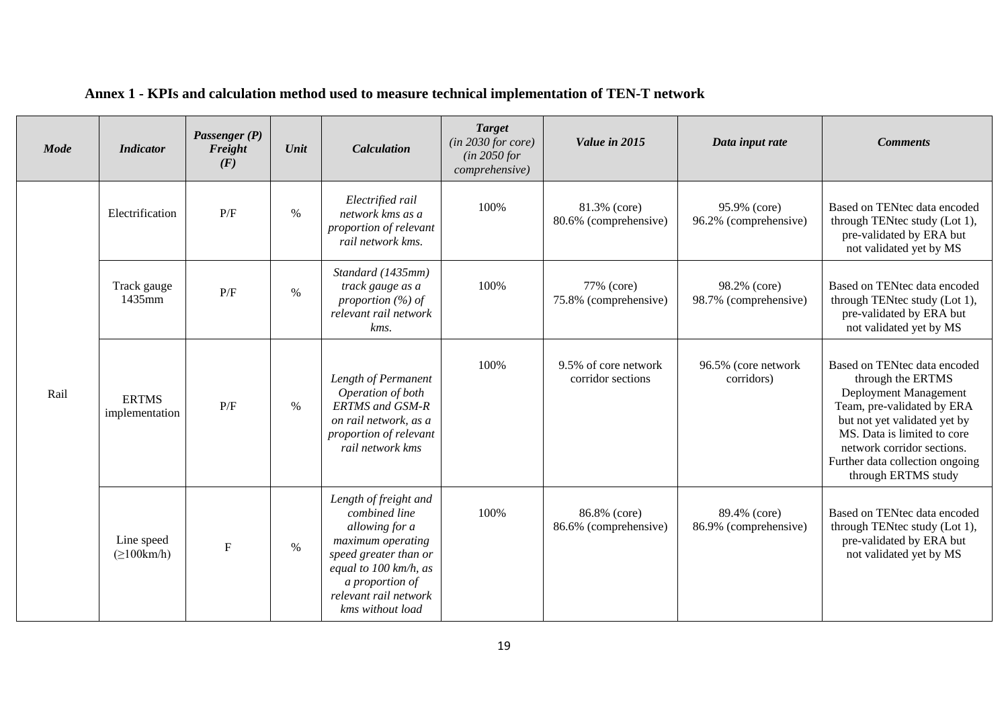| <b>Mode</b> | <b>Indicator</b>                                                                                                                                                                                                                       | Passenger (P)<br>Freight<br>(F) | Unit | <b>Calculation</b>                                                                                                                                                                                   | <b>Target</b><br>(in 2030 for core)<br>(in 2050 for<br>comprehensive) | Value in 2015                                                                                                        | Data input rate                       | <b>Comments</b>                                                                                                                                                                                                                                                 |
|-------------|----------------------------------------------------------------------------------------------------------------------------------------------------------------------------------------------------------------------------------------|---------------------------------|------|------------------------------------------------------------------------------------------------------------------------------------------------------------------------------------------------------|-----------------------------------------------------------------------|----------------------------------------------------------------------------------------------------------------------|---------------------------------------|-----------------------------------------------------------------------------------------------------------------------------------------------------------------------------------------------------------------------------------------------------------------|
|             | Electrified rail<br>P/F<br>Electrification<br>$\%$<br>network kms as a<br>proportion of relevant<br>rail network kms.<br>Standard (1435mm)<br>track gauge as a<br>Track gauge<br>P/F<br>$\%$<br>1435mm<br>proportion $(\%)$ of<br>kms. |                                 | 100% | 81.3% (core)<br>80.6% (comprehensive)                                                                                                                                                                | 95.9% (core)<br>96.2% (comprehensive)                                 | Based on TENtec data encoded<br>through TENtec study (Lot 1),<br>pre-validated by ERA but<br>not validated yet by MS |                                       |                                                                                                                                                                                                                                                                 |
|             |                                                                                                                                                                                                                                        |                                 |      | relevant rail network                                                                                                                                                                                | 100%                                                                  | 77% (core)<br>75.8% (comprehensive)                                                                                  | 98.2% (core)<br>98.7% (comprehensive) | Based on TENtec data encoded<br>through TENtec study (Lot 1),<br>pre-validated by ERA but<br>not validated yet by MS                                                                                                                                            |
| Rail        | <b>ERTMS</b><br>implementation                                                                                                                                                                                                         | P/F                             | $\%$ | Length of Permanent<br>Operation of both<br><b>ERTMS</b> and GSM-R<br>on rail network, as a<br>proportion of relevant<br>rail network kms                                                            | 100%                                                                  | 9.5% of core network<br>corridor sections                                                                            | 96.5% (core network<br>corridors)     | Based on TENtec data encoded<br>through the ERTMS<br>Deployment Management<br>Team, pre-validated by ERA<br>but not yet validated yet by<br>MS. Data is limited to core<br>network corridor sections.<br>Further data collection ongoing<br>through ERTMS study |
|             | Line speed<br>$(\geq 100 \text{km/h})$                                                                                                                                                                                                 | $\mathbf F$                     | $\%$ | Length of freight and<br>combined line<br>allowing for a<br>maximum operating<br>speed greater than or<br>equal to $100 \,$ km/h, as<br>a proportion of<br>relevant rail network<br>kms without load | 100%                                                                  | 86.8% (core)<br>86.6% (comprehensive)                                                                                | 89.4% (core)<br>86.9% (comprehensive) | Based on TENtec data encoded<br>through TENtec study (Lot 1),<br>pre-validated by ERA but<br>not validated yet by MS                                                                                                                                            |

# **Annex 1 - KPIs and calculation method used to measure technical implementation of TEN-T network**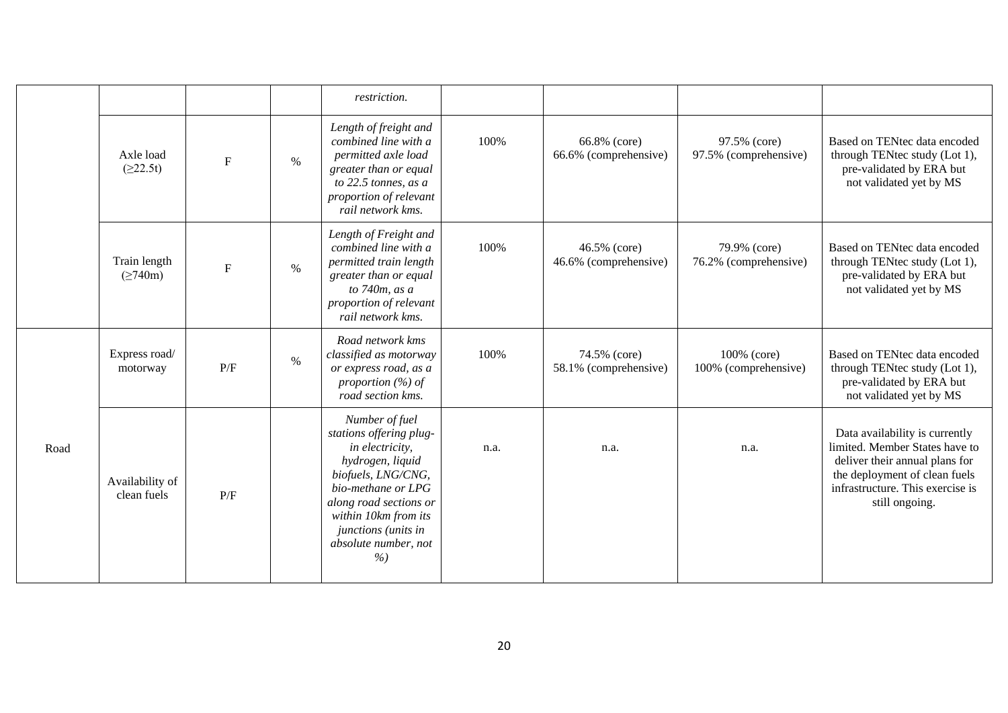|      |                                |             |      | restriction.                                                                                                                                                                                                                          |      |                                       |                                       |                                                                                                                                                                                           |
|------|--------------------------------|-------------|------|---------------------------------------------------------------------------------------------------------------------------------------------------------------------------------------------------------------------------------------|------|---------------------------------------|---------------------------------------|-------------------------------------------------------------------------------------------------------------------------------------------------------------------------------------------|
|      | Axle load<br>(≥22.5t)          | $\mathbf F$ | $\%$ | Length of freight and<br>combined line with a<br>permitted axle load<br>greater than or equal<br>to $22.5$ tonnes, as a<br>proportion of relevant<br>rail network kms.                                                                | 100% | 66.8% (core)<br>66.6% (comprehensive) | 97.5% (core)<br>97.5% (comprehensive) | Based on TENtec data encoded<br>through TENtec study (Lot 1),<br>pre-validated by ERA but<br>not validated yet by MS                                                                      |
|      | Train length<br>$(\geq 740m)$  | $\mathbf F$ | $\%$ | Length of Freight and<br>combined line with a<br>permitted train length<br>greater than or equal<br>to $740m$ , as a<br>proportion of relevant<br>rail network kms.                                                                   | 100% | 46.5% (core)<br>46.6% (comprehensive) | 79.9% (core)<br>76.2% (comprehensive) | Based on TENtec data encoded<br>through TENtec study (Lot 1),<br>pre-validated by ERA but<br>not validated yet by MS                                                                      |
|      | Express road/<br>motorway      | P/F         | $\%$ | Road network kms<br>classified as motorway<br>or express road, as a<br>proportion $(\%)$ of<br>road section kms.                                                                                                                      | 100% | 74.5% (core)<br>58.1% (comprehensive) | 100% (core)<br>100% (comprehensive)   | Based on TENtec data encoded<br>through TENtec study (Lot 1),<br>pre-validated by ERA but<br>not validated yet by MS                                                                      |
| Road | Availability of<br>clean fuels | P/F         |      | Number of fuel<br>stations offering plug-<br>in electricity,<br>hydrogen, liquid<br>biofuels, LNG/CNG,<br>bio-methane or LPG<br>along road sections or<br>within 10km from its<br>junctions (units in<br>absolute number, not<br>$\%$ | n.a. | n.a.                                  | n.a.                                  | Data availability is currently<br>limited. Member States have to<br>deliver their annual plans for<br>the deployment of clean fuels<br>infrastructure. This exercise is<br>still ongoing. |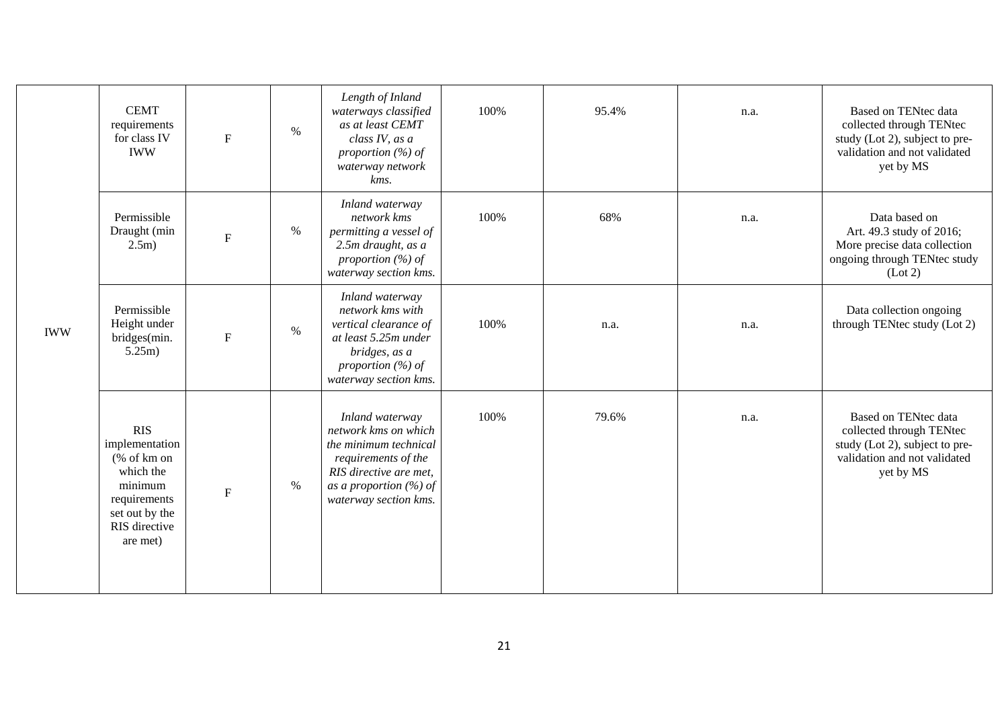|            | <b>CEMT</b><br>requirements<br>for class IV<br><b>IWW</b>                                                                           | $\mathbf F$  | $\%$ | Length of Inland<br>waterways classified<br>as at least CEMT<br>class IV, as a<br>proportion $(\%)$ of<br>waterway network<br>kms.                                      | 100% | 95.4% | n.a. | Based on TENtec data<br>collected through TENtec<br>study (Lot 2), subject to pre-<br>validation and not validated<br>yet by MS |
|------------|-------------------------------------------------------------------------------------------------------------------------------------|--------------|------|-------------------------------------------------------------------------------------------------------------------------------------------------------------------------|------|-------|------|---------------------------------------------------------------------------------------------------------------------------------|
|            | Permissible<br>Draught (min<br>2.5m)                                                                                                | $\mathbf F$  | $\%$ | Inland waterway<br>network kms<br>permitting a vessel of<br>2.5m draught, as a<br>proportion $(\%)$ of<br>waterway section kms.                                         | 100% | 68%   | n.a. | Data based on<br>Art. 49.3 study of 2016;<br>More precise data collection<br>ongoing through TENtec study<br>(Lot 2)            |
| <b>IWW</b> | Permissible<br>Height under<br>bridges(min.<br>5.25m)                                                                               | $\mathbf{F}$ | $\%$ | Inland waterway<br>network kms with<br>vertical clearance of<br>at least 5.25m under<br>bridges, as a<br>proportion $(\%)$ of<br>waterway section kms.                  | 100% | n.a.  | n.a. | Data collection ongoing<br>through TENtec study (Lot 2)                                                                         |
|            | <b>RIS</b><br>implementation<br>$%$ of km on<br>which the<br>minimum<br>requirements<br>set out by the<br>RIS directive<br>are met) | $\mathbf F$  | $\%$ | Inland waterway<br>network kms on which<br>the minimum technical<br>requirements of the<br>RIS directive are met,<br>as a proportion $(\%)$ of<br>waterway section kms. | 100% | 79.6% | n.a. | Based on TENtec data<br>collected through TENtec<br>study (Lot 2), subject to pre-<br>validation and not validated<br>yet by MS |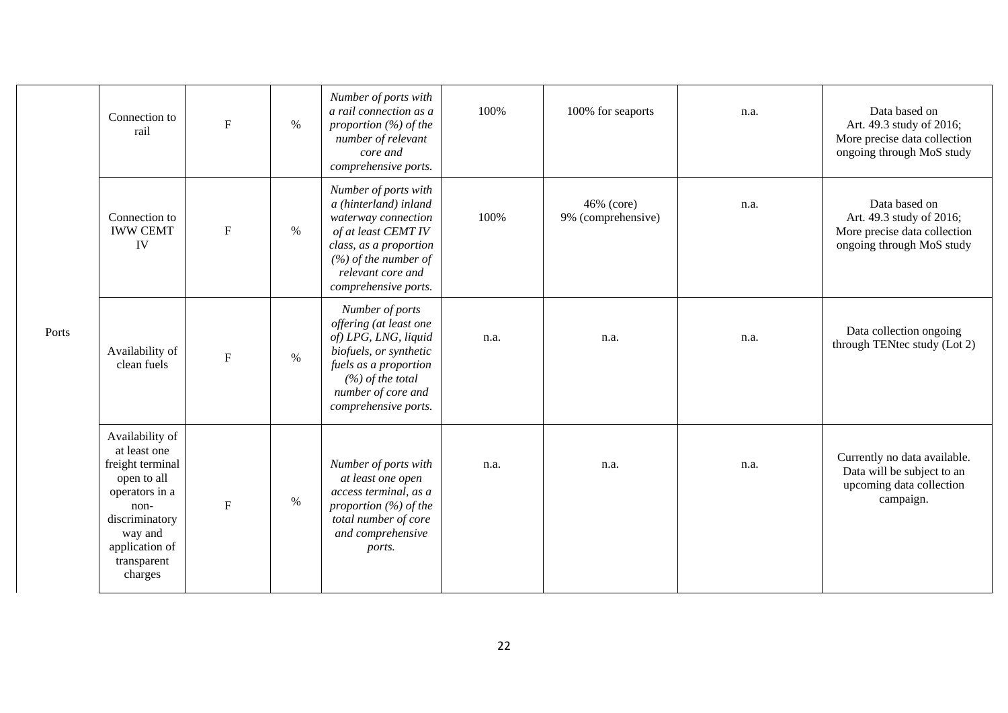|       | Connection to<br>rail                                                                                                                                                 | ${\bf F}$   | $\%$          | Number of ports with<br>a rail connection as a<br>proportion $(\%)$ of the<br>number of relevant<br>core and<br>comprehensive ports.                                                         | 100% | 100% for seaports                | n.a. | Data based on<br>Art. 49.3 study of 2016;<br>More precise data collection<br>ongoing through MoS study |
|-------|-----------------------------------------------------------------------------------------------------------------------------------------------------------------------|-------------|---------------|----------------------------------------------------------------------------------------------------------------------------------------------------------------------------------------------|------|----------------------------------|------|--------------------------------------------------------------------------------------------------------|
|       | Connection to<br><b>IWW CEMT</b><br>IV                                                                                                                                | ${\bf F}$   | $\frac{0}{0}$ | Number of ports with<br>a (hinterland) inland<br>waterway connection<br>of at least CEMT IV<br>class, as a proportion<br>$(%)$ of the number of<br>relevant core and<br>comprehensive ports. | 100% | 46% (core)<br>9% (comprehensive) | n.a. | Data based on<br>Art. 49.3 study of 2016;<br>More precise data collection<br>ongoing through MoS study |
| Ports | Availability of<br>clean fuels                                                                                                                                        | ${\bf F}$   | $\%$          | Number of ports<br>offering (at least one<br>of) LPG, LNG, liquid<br>biofuels, or synthetic<br>fuels as a proportion<br>$(%)$ of the total<br>number of core and<br>comprehensive ports.     | n.a. | n.a.                             | n.a. | Data collection ongoing<br>through TENtec study (Lot 2)                                                |
|       | Availability of<br>at least one<br>freight terminal<br>open to all<br>operators in a<br>non-<br>discriminatory<br>way and<br>application of<br>transparent<br>charges | $\mathbf F$ | $\%$          | Number of ports with<br>at least one open<br>access terminal, as a<br>proportion $(\%)$ of the<br>total number of core<br>and comprehensive<br>ports.                                        | n.a. | n.a.                             | n.a. | Currently no data available.<br>Data will be subject to an<br>upcoming data collection<br>campaign.    |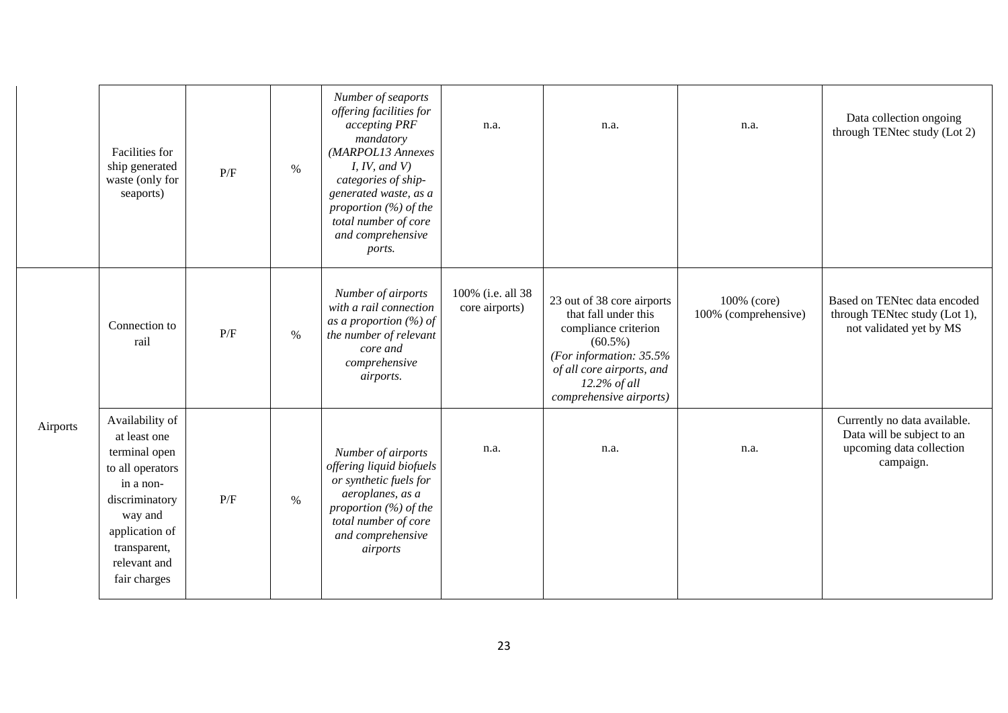|          | Facilities for<br>ship generated<br>waste (only for<br>seaports)                                                                                                                 | P/F | $\%$ | Number of seaports<br>offering facilities for<br>accepting PRF<br>mandatory<br>(MARPOL13 Annexes<br>I, IV, and V<br>categories of ship-<br>generated waste, as a<br>proportion $(\%)$ of the<br>total number of core<br>and comprehensive<br>ports. | n.a.                                | n.a.                                                                                                                                                                                          | n.a.                                | Data collection ongoing<br>through TENtec study (Lot 2)                                             |
|----------|----------------------------------------------------------------------------------------------------------------------------------------------------------------------------------|-----|------|-----------------------------------------------------------------------------------------------------------------------------------------------------------------------------------------------------------------------------------------------------|-------------------------------------|-----------------------------------------------------------------------------------------------------------------------------------------------------------------------------------------------|-------------------------------------|-----------------------------------------------------------------------------------------------------|
|          | Connection to<br>rail                                                                                                                                                            | P/F | $\%$ | Number of airports<br>with a rail connection<br>as a proportion $(\%)$ of<br>the number of relevant<br>core and<br>comprehensive<br>airports.                                                                                                       | 100% (i.e. all 38<br>core airports) | 23 out of 38 core airports<br>that fall under this<br>compliance criterion<br>$(60.5\%)$<br>(For information: $35.5%$<br>of all core airports, and<br>12.2% of all<br>comprehensive airports) | 100% (core)<br>100% (comprehensive) | Based on TENtec data encoded<br>through TENtec study (Lot 1),<br>not validated yet by MS            |
| Airports | Availability of<br>at least one<br>terminal open<br>to all operators<br>in a non-<br>discriminatory<br>way and<br>application of<br>transparent,<br>relevant and<br>fair charges | P/F | $\%$ | Number of airports<br>offering liquid biofuels<br>or synthetic fuels for<br>aeroplanes, as a<br>proportion $(\%)$ of the<br>total number of core<br>and comprehensive<br>airports                                                                   | n.a.                                | n.a.                                                                                                                                                                                          | n.a.                                | Currently no data available.<br>Data will be subject to an<br>upcoming data collection<br>campaign. |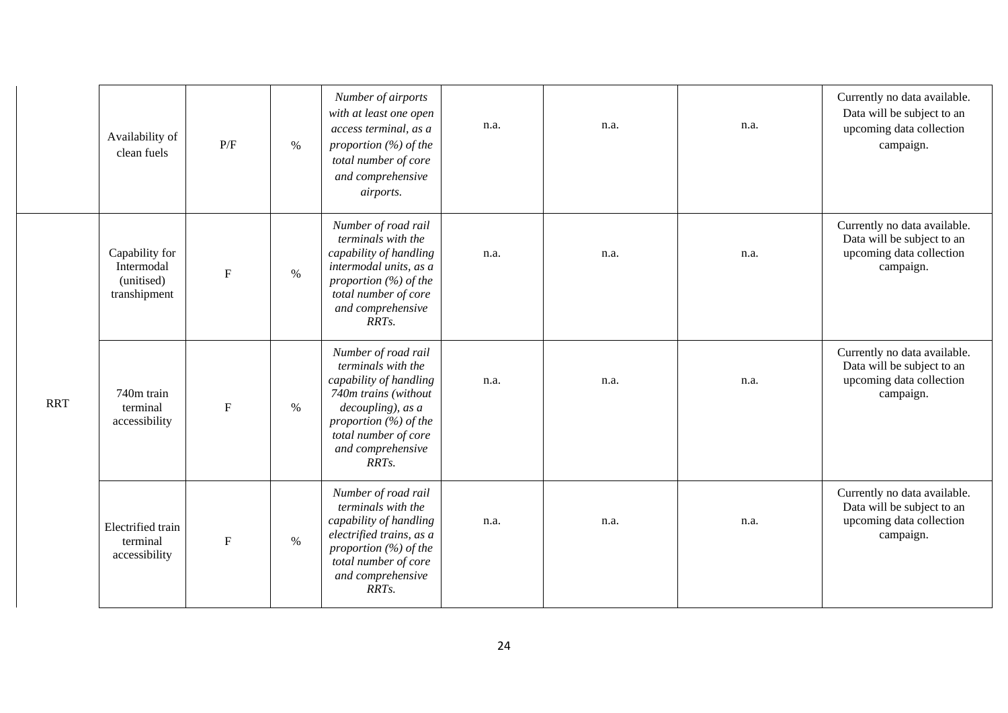|            | Availability of<br>clean fuels                             | P/F               | $\%$ | Number of airports<br>with at least one open<br>access terminal, as a<br>proportion (%) of the<br>total number of core<br>and comprehensive<br><i>airports.</i>                                    | n.a. | n.a. | n.a. | Currently no data available.<br>Data will be subject to an<br>upcoming data collection<br>campaign. |
|------------|------------------------------------------------------------|-------------------|------|----------------------------------------------------------------------------------------------------------------------------------------------------------------------------------------------------|------|------|------|-----------------------------------------------------------------------------------------------------|
|            | Capability for<br>Intermodal<br>(unitised)<br>transhipment | ${\bf F}$<br>$\%$ |      | Number of road rail<br>terminals with the<br>capability of handling<br>intermodal units, as a<br>proportion $(\%)$ of the<br>total number of core<br>and comprehensive<br>RRTs.                    | n.a. | n.a. | n.a. | Currently no data available.<br>Data will be subject to an<br>upcoming data collection<br>campaign. |
| <b>RRT</b> | 740m train<br>terminal<br>accessibility                    | ${\bf F}$         | $\%$ | Number of road rail<br>terminals with the<br>capability of handling<br>740m trains (without<br>decoupling), as a<br>proportion $(\%)$ of the<br>total number of core<br>and comprehensive<br>RRTs. | n.a. | n.a. | n.a. | Currently no data available.<br>Data will be subject to an<br>upcoming data collection<br>campaign. |
|            | Electrified train<br>terminal<br>accessibility             | $\mathbf{F}$      | $\%$ | Number of road rail<br>terminals with the<br>capability of handling<br>electrified trains, as a<br>proportion $(\%)$ of the<br>total number of core<br>and comprehensive<br>RRT <sub>s</sub> .     | n.a. | n.a. | n.a. | Currently no data available.<br>Data will be subject to an<br>upcoming data collection<br>campaign. |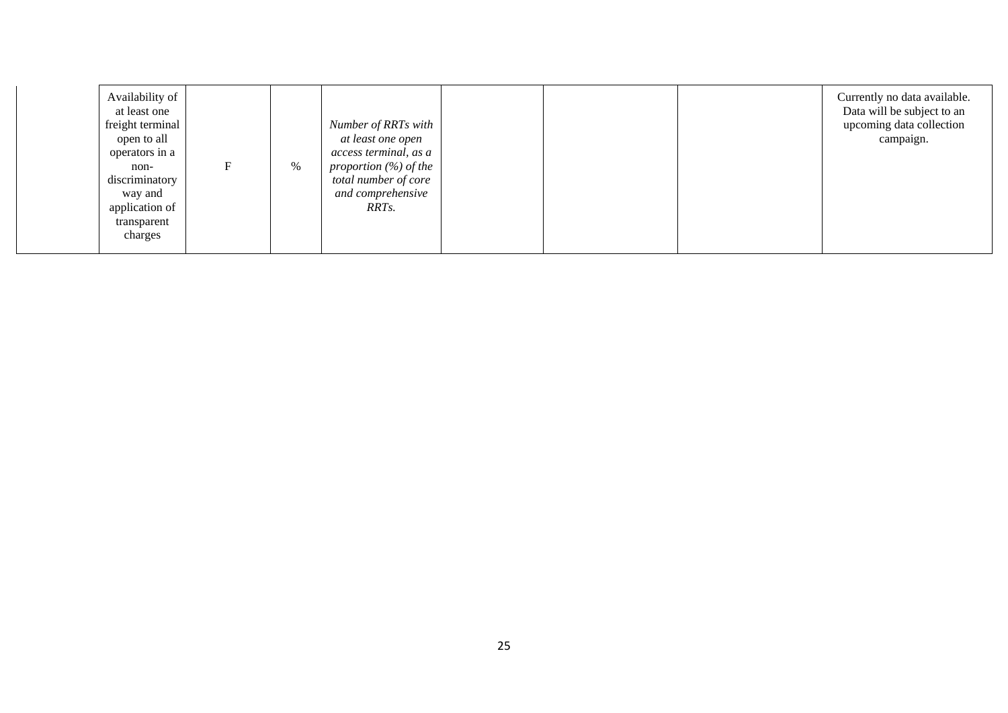| Availability of<br>at least one<br>freight terminal<br>open to all<br>operators in a<br>non-<br>discriminatory<br>way and<br>application of<br>transparent<br>charges | F | Number of RRTs with<br>at least one open<br>access terminal, as a<br>$\%$<br>proportion $(\%)$ of the<br>total number of core<br>and comprehensive<br>RRT <sub>s</sub> . |  |  | Currently no data available.<br>Data will be subject to an<br>upcoming data collection<br>campaign. |
|-----------------------------------------------------------------------------------------------------------------------------------------------------------------------|---|--------------------------------------------------------------------------------------------------------------------------------------------------------------------------|--|--|-----------------------------------------------------------------------------------------------------|
|-----------------------------------------------------------------------------------------------------------------------------------------------------------------------|---|--------------------------------------------------------------------------------------------------------------------------------------------------------------------------|--|--|-----------------------------------------------------------------------------------------------------|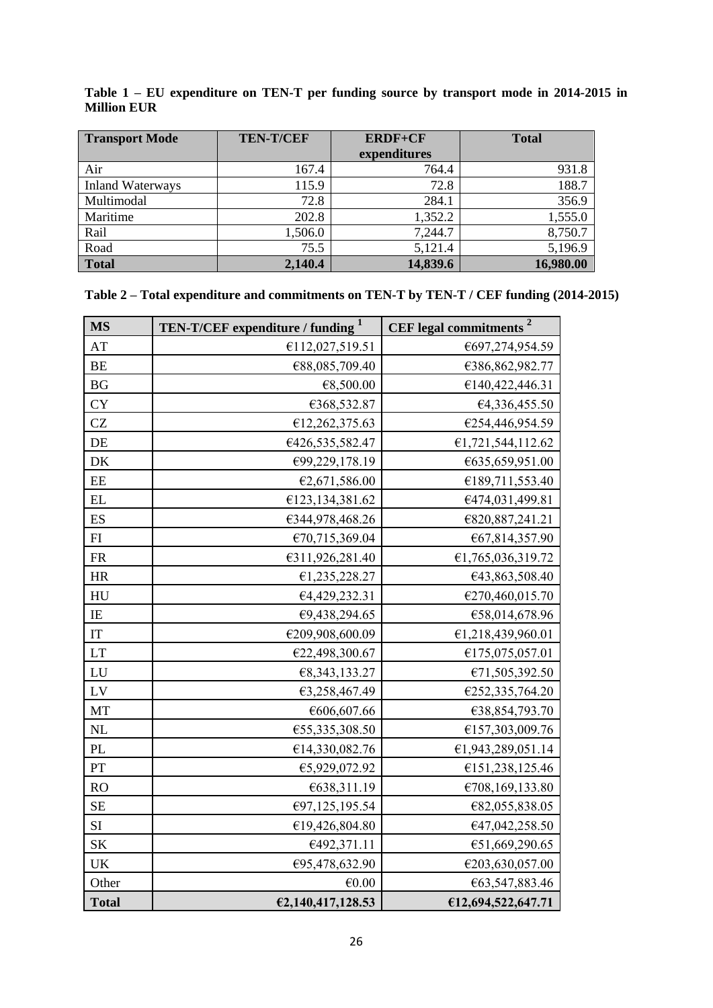| <b>Transport Mode</b>   | <b>TEN-T/CEF</b> | <b>ERDF+CF</b> | <b>Total</b> |
|-------------------------|------------------|----------------|--------------|
|                         |                  | expenditures   |              |
| Air                     | 167.4            | 764.4          | 931.8        |
| <b>Inland Waterways</b> | 115.9            | 72.8           | 188.7        |
| Multimodal              | 72.8             | 284.1          | 356.9        |
| Maritime                | 202.8            | 1,352.2        | 1,555.0      |
| Rail                    | 1,506.0          | 7,244.7        | 8,750.7      |
| Road                    | 75.5             | 5,121.4        | 5,196.9      |
| <b>Total</b>            | 2,140.4          | 14,839.6       | 16,980.00    |

**Table 1 – EU expenditure on TEN-T per funding source by transport mode in 2014-2015 in Million EUR**

|  | Table 2 - Total expenditure and commitments on TEN-T by TEN-T / CEF funding (2014-2015) |  |  |
|--|-----------------------------------------------------------------------------------------|--|--|
|  |                                                                                         |  |  |

| <b>MS</b>                         | TEN-T/CEF expenditure / funding <sup>1</sup> | <b>CEF</b> legal commitments <sup>2</sup> |  |  |  |
|-----------------------------------|----------------------------------------------|-------------------------------------------|--|--|--|
| AT                                | €112,027,519.51                              | €697,274,954.59                           |  |  |  |
| BE                                | €88,085,709.40                               | €386,862,982.77                           |  |  |  |
| BG                                | €8,500.00                                    | €140,422,446.31                           |  |  |  |
| <b>CY</b>                         | €368,532.87                                  | €4,336,455.50                             |  |  |  |
| CZ                                | €12,262,375.63                               | €254,446,954.59                           |  |  |  |
| DE                                | €426,535,582.47                              | €1,721,544,112.62                         |  |  |  |
| DK                                | €99,229,178.19                               | €635,659,951.00                           |  |  |  |
| $\rm EE$                          | €2,671,586.00                                | €189,711,553.40                           |  |  |  |
| EL                                | €123,134,381.62                              | €474,031,499.81                           |  |  |  |
| ES                                | €344,978,468.26                              | €820,887,241.21                           |  |  |  |
| FI                                | €70,715,369.04                               | €67,814,357.90                            |  |  |  |
| ${\sf FR}$                        | €311,926,281.40                              | €1,765,036,319.72                         |  |  |  |
| <b>HR</b>                         | €1,235,228.27                                | €43,863,508.40                            |  |  |  |
| HU                                | €4,429,232.31                                | €270,460,015.70                           |  |  |  |
| IE                                | €9,438,294.65                                | €58,014,678.96                            |  |  |  |
| $\ensuremath{\mathsf{IT}}$        | €209,908,600.09                              | €1,218,439,960.01                         |  |  |  |
| <b>LT</b>                         | €22,498,300.67                               | €175,075,057.01                           |  |  |  |
| ${\rm LU}$                        | €8,343,133.27                                | €71,505,392.50                            |  |  |  |
| $\mathbf{L}\mathbf{V}$            | €3,258,467.49                                | €252,335,764.20                           |  |  |  |
| MT                                | €606,607.66                                  | €38,854,793.70                            |  |  |  |
| NL                                | €55,335,308.50                               | €157,303,009.76                           |  |  |  |
| PL                                | €14,330,082.76                               | €1,943,289,051.14                         |  |  |  |
| ${\cal PT}$                       | €5,929,072.92                                | €151,238,125.46                           |  |  |  |
| <b>RO</b>                         | €638,311.19                                  | €708,169,133.80                           |  |  |  |
| SE                                | €97,125,195.54                               | €82,055,838.05                            |  |  |  |
| SI                                | €19,426,804.80                               | €47,042,258.50                            |  |  |  |
| <b>SK</b>                         | €492,371.11                                  | €51,669,290.65                            |  |  |  |
| $\ensuremath{\mathrm{UK}}\xspace$ | €95,478,632.90                               | €203,630,057.00                           |  |  |  |
| Other                             | €0.00                                        | €63,547,883.46                            |  |  |  |
| <b>Total</b>                      | €2,140,417,128.53                            | €12,694,522,647.71                        |  |  |  |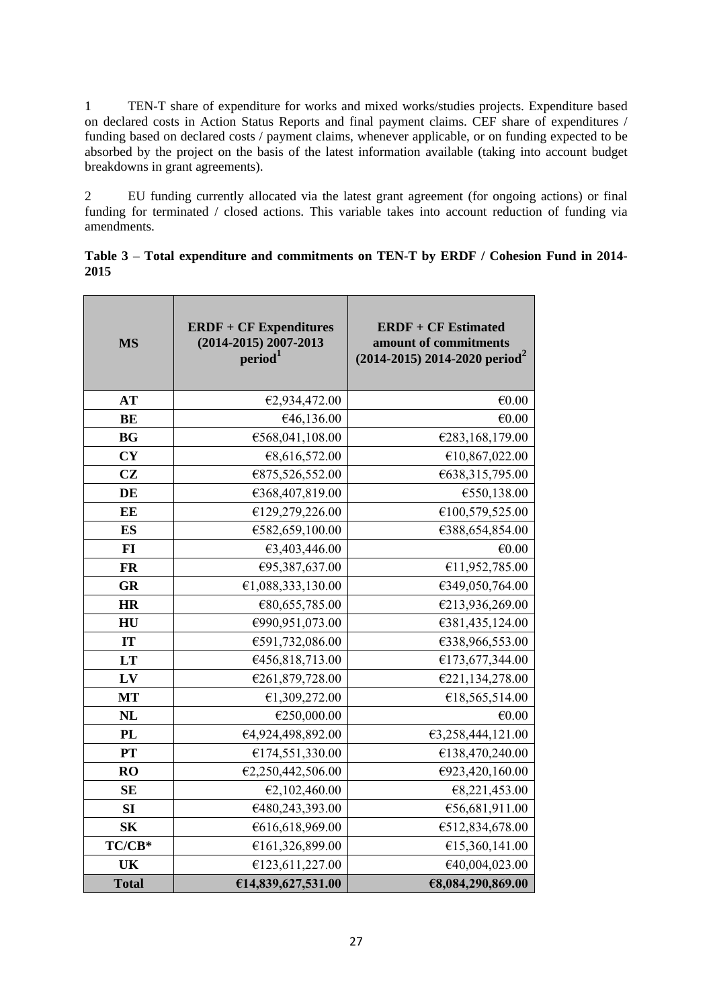1 TEN-T share of expenditure for works and mixed works/studies projects. Expenditure based on declared costs in Action Status Reports and final payment claims. CEF share of expenditures / funding based on declared costs / payment claims, whenever applicable, or on funding expected to be absorbed by the project on the basis of the latest information available (taking into account budget breakdowns in grant agreements).

2 EU funding currently allocated via the latest grant agreement (for ongoing actions) or final funding for terminated / closed actions. This variable takes into account reduction of funding via amendments.

|      | Table 3 – Total expenditure and commitments on TEN-T by ERDF / Cohesion Fund in 2014- |  |  |  |  |  |
|------|---------------------------------------------------------------------------------------|--|--|--|--|--|
| 2015 |                                                                                       |  |  |  |  |  |

| <b>MS</b>    | <b>ERDF + CF Expenditures</b><br>(2014-2015) 2007-2013<br>period <sup>1</sup> | <b>ERDF + CF Estimated</b><br>amount of commitments<br>$(2014-2015)$ 2014-2020 period <sup>2</sup> |  |  |  |
|--------------|-------------------------------------------------------------------------------|----------------------------------------------------------------------------------------------------|--|--|--|
| <b>AT</b>    | €2,934,472.00                                                                 | €0.00                                                                                              |  |  |  |
| <b>BE</b>    | €46,136.00                                                                    | €0.00                                                                                              |  |  |  |
| <b>BG</b>    | €568,041,108.00                                                               | €283,168,179.00                                                                                    |  |  |  |
| <b>CY</b>    | €8,616,572.00                                                                 | €10,867,022.00                                                                                     |  |  |  |
| <b>CZ</b>    | €875,526,552.00                                                               | €638,315,795.00                                                                                    |  |  |  |
| DE           | €368,407,819.00                                                               | €550,138.00                                                                                        |  |  |  |
| EE           | €129,279,226.00                                                               | €100,579,525.00                                                                                    |  |  |  |
| <b>ES</b>    | €582,659,100.00                                                               | €388,654,854.00                                                                                    |  |  |  |
| FI           | €3,403,446.00                                                                 | €0.00                                                                                              |  |  |  |
| <b>FR</b>    | €95,387,637.00                                                                | €11,952,785.00                                                                                     |  |  |  |
| GR           | €1,088,333,130.00                                                             | €349,050,764.00                                                                                    |  |  |  |
| <b>HR</b>    | €80,655,785.00                                                                | €213,936,269.00                                                                                    |  |  |  |
| HU           | €990,951,073.00                                                               | €381,435,124.00                                                                                    |  |  |  |
| IT           | €591,732,086.00                                                               | €338,966,553.00                                                                                    |  |  |  |
| LT           | €456,818,713.00                                                               | €173,677,344.00                                                                                    |  |  |  |
| LV           | €261,879,728.00                                                               | €221,134,278.00                                                                                    |  |  |  |
| <b>MT</b>    | €1,309,272.00                                                                 | €18,565,514.00                                                                                     |  |  |  |
| <b>NL</b>    | €250,000.00                                                                   | €0.00                                                                                              |  |  |  |
| <b>PL</b>    | €4,924,498,892.00                                                             | €3,258,444,121.00                                                                                  |  |  |  |
| <b>PT</b>    | €174,551,330.00                                                               | €138,470,240.00                                                                                    |  |  |  |
| <b>RO</b>    | €2,250,442,506.00                                                             | €923,420,160.00                                                                                    |  |  |  |
| <b>SE</b>    | €2,102,460.00                                                                 | €8,221,453.00                                                                                      |  |  |  |
| SI           | €480,243,393.00                                                               | €56,681,911.00                                                                                     |  |  |  |
| <b>SK</b>    | €616,618,969.00                                                               | €512,834,678.00                                                                                    |  |  |  |
| TC/CB*       | €161,326,899.00                                                               | €15,360,141.00                                                                                     |  |  |  |
| UK           | €123,611,227.00                                                               | €40,004,023.00                                                                                     |  |  |  |
| <b>Total</b> | €14,839,627,531.00                                                            | €8,084,290,869.00                                                                                  |  |  |  |